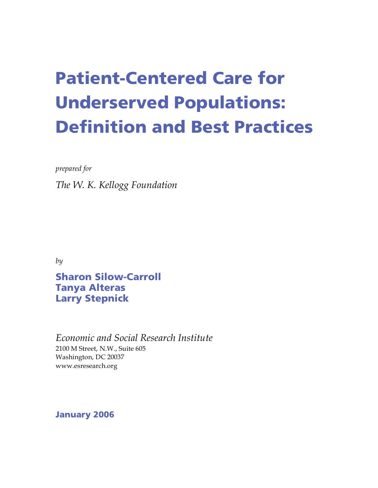# Patient-Centered Care for Underserved Populations: Definition and Best Practices

*prepared for*

*The W. K. Kellogg Foundation*

*by*

Sharon Silow-Carroll Tanya Alteras Larry Stepnick

*Economic and Social Research Institute* 2100 M Street, N.W., Suite 605 Washington, DC 20037 www.esresearch.org

January 2006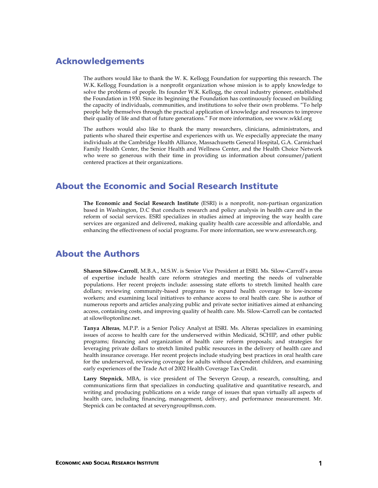### Acknowledgements

The authors would like to thank the W. K. Kellogg Foundation for supporting this research. The W.K. Kellogg Foundation is a nonprofit organization whose mission is to apply knowledge to solve the problems of people. Its founder W.K. Kellogg, the cereal industry pioneer, established the Foundation in 1930. Since its beginning the Foundation has continuously focused on building the capacity of individuals, communities, and institutions to solve their own problems. "To help people help themselves through the practical application of knowledge and resources to improve their quality of life and that of future generations." For more information, see www.wkkf.org

The authors would also like to thank the many researchers, clinicians, administrators, and patients who shared their expertise and experiences with us. We especially appreciate the many individuals at the Cambridge Health Alliance, Massachusetts General Hospital, G.A. Carmichael Family Health Center, the Senior Health and Wellness Center, and the Health Choice Network who were so generous with their time in providing us information about consumer/patient centered practices at their organizations.

### About the Economic and Social Research Institute

**The Economic and Social Research Institute** (ESRI) is a nonprofit, non-partisan organization based in Washington, D.C that conducts research and policy analysis in health care and in the reform of social services. ESRI specializes in studies aimed at improving the way health care services are organized and delivered, making quality health care accessible and affordable, and enhancing the effectiveness of social programs. For more information, see www.esresearch.org.

### About the Authors

**Sharon Silow-Carroll**, M.B.A., M.S.W. is Senior Vice President at ESRI. Ms. Silow-Carroll's areas of expertise include health care reform strategies and meeting the needs of vulnerable populations. Her recent projects include: assessing state efforts to stretch limited health care dollars; reviewing community-based programs to expand health coverage to low-income workers; and examining local initiatives to enhance access to oral health care. She is author of numerous reports and articles analyzing public and private sector initiatives aimed at enhancing access, containing costs, and improving quality of health care. Ms. Silow-Carroll can be contacted at silow@optonline.net.

**Tanya Alteras**, M.P.P. is a Senior Policy Analyst at ESRI. Ms. Alteras specializes in examining issues of access to health care for the underserved within Medicaid, SCHIP, and other public programs; financing and organization of health care reform proposals; and strategies for leveraging private dollars to stretch limited public resources in the delivery of health care and health insurance coverage. Her recent projects include studying best practices in oral health care for the underserved, reviewing coverage for adults without dependent children, and examining early experiences of the Trade Act of 2002 Health Coverage Tax Credit.

**Larry Stepnick**, MBA, is vice president of The Severyn Group, a research, consulting, and communications firm that specializes in conducting qualitative and quantitative research, and writing and producing publications on a wide range of issues that span virtually all aspects of health care, including financing, management, delivery, and performance measurement. Mr. Stepnick can be contacted at severyngroup@msn.com.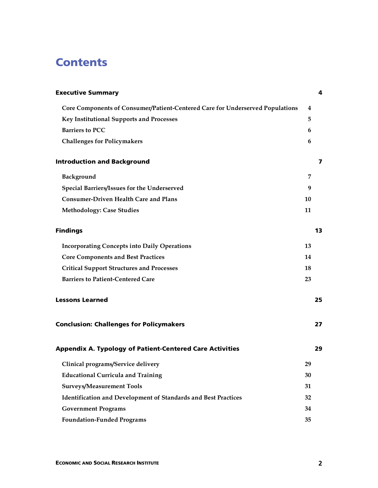### **Contents**

| <b>Executive Summary</b>                                                      |           | 4  |
|-------------------------------------------------------------------------------|-----------|----|
| Core Components of Consumer/Patient-Centered Care for Underserved Populations | 4         |    |
| Key Institutional Supports and Processes                                      | 5.        |    |
| <b>Barriers to PCC</b>                                                        | 6         |    |
| <b>Challenges for Policymakers</b>                                            | 6         |    |
| <b>Introduction and Background</b>                                            |           | 7  |
| Background                                                                    | 7         |    |
| Special Barriers/Issues for the Underserved                                   | 9         |    |
| <b>Consumer-Driven Health Care and Plans</b>                                  | 10        |    |
| <b>Methodology: Case Studies</b>                                              | 11        |    |
| <b>Findings</b>                                                               |           | 13 |
| <b>Incorporating Concepts into Daily Operations</b>                           | 13        |    |
| <b>Core Components and Best Practices</b>                                     | 14        |    |
| <b>Critical Support Structures and Processes</b>                              | <b>18</b> |    |
| <b>Barriers to Patient-Centered Care</b>                                      | 23        |    |
| <b>Lessons Learned</b>                                                        |           | 25 |
| <b>Conclusion: Challenges for Policymakers</b>                                |           | 27 |
| <b>Appendix A. Typology of Patient-Centered Care Activities</b>               |           | 29 |
| Clinical programs/Service delivery                                            | 29        |    |
| <b>Educational Curricula and Training</b>                                     | 30        |    |
| <b>Surveys/Measurement Tools</b>                                              | 31        |    |
| <b>Identification and Development of Standards and Best Practices</b>         | 32        |    |
| <b>Government Programs</b>                                                    | 34        |    |
| <b>Foundation-Funded Programs</b>                                             | 35        |    |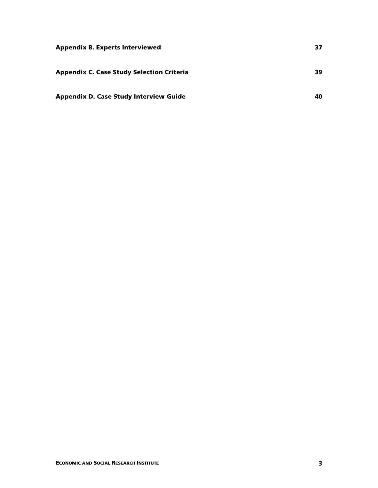| <b>Appendix B. Experts Interviewed</b>           | 37 |
|--------------------------------------------------|----|
| <b>Appendix C. Case Study Selection Criteria</b> | 39 |
| <b>Appendix D. Case Study Interview Guide</b>    | 40 |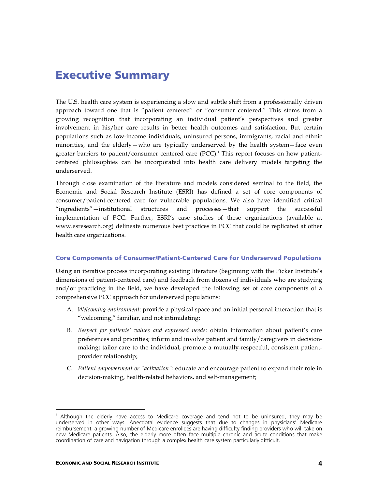### Executive Summary

The U.S. health care system is experiencing a slow and subtle shift from a professionally driven approach toward one that is "patient centered" or "consumer centered." This stems from a growing recognition that incorporating an individual patient's perspectives and greater involvement in his/her care results in better health outcomes and satisfaction. But certain populations such as low-income individuals, uninsured persons, immigrants, racial and ethnic minorities, and the elderly—who are typically underserved by the health system—face even greater barriers to patient/consumer centered care (PCC). 1 This report focuses on how patientcentered philosophies can be incorporated into health care delivery models targeting the underserved.

Through close examination of the literature and models considered seminal to the field, the Economic and Social Research Institute (ESRI) has defined a set of core components of consumer/patient-centered care for vulnerable populations. We also have identified critical "ingredients"—institutional structures and processes—that support the successful implementation of PCC. Further, ESRI's case studies of these organizations (available at www.esresearch.org) delineate numerous best practices in PCC that could be replicated at other health care organizations.

#### Core Components of Consumer/Patient-Centered Care for Underserved Populations

Using an iterative process incorporating existing literature (beginning with the Picker Institute's dimensions of patient-centered care) and feedback from dozens of individuals who are studying and/or practicing in the field, we have developed the following set of core components of a comprehensive PCC approach for underserved populations:

- A. *Welcoming environment*: provide a physical space and an initial personal interaction that is "welcoming," familiar, and not intimidating;
- B. *Respect for patients' values and expressed needs*: obtain information about patient's care preferences and priorities; inform and involve patient and family/caregivers in decisionmaking; tailor care to the individual; promote a mutually-respectful, consistent patientprovider relationship;
- C. *Patient empowerment or "activation"*: educate and encourage patient to expand their role in decision-making, health-related behaviors, and self-management;

<sup>|&</sup>lt;br>1 Although the elderly have access to Medicare coverage and tend not to be uninsured, they may be underserved in other ways. Anecdotal evidence suggests that due to changes in physicians' Medicare reimbursement, a growing number of Medicare enrollees are having difficulty finding providers who will take on new Medicare patients. Also, the elderly more often face multiple chronic and acute conditions that make coordination of care and navigation through a complex health care system particularly difficult.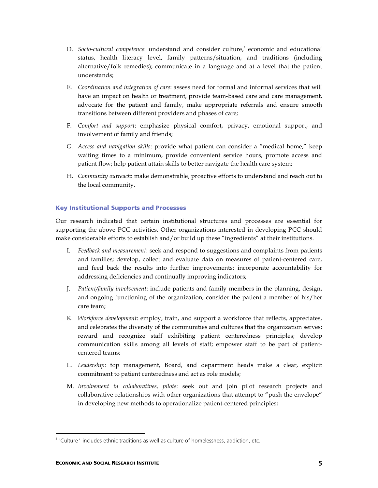- D. *Socio-cultural competence*: understand and consider culture, 2 economic and educational status, health literacy level, family patterns/situation, and traditions (including alternative/folk remedies); communicate in a language and at a level that the patient understands;
- E. *Coordination and integration of care*: assess need for formal and informal services that will have an impact on health or treatment, provide team-based care and care management, advocate for the patient and family, make appropriate referrals and ensure smooth transitions between different providers and phases of care;
- F. *Comfort and support*: emphasize physical comfort, privacy, emotional support, and involvement of family and friends;
- G. *Access and navigation skills*: provide what patient can consider a "medical home," keep waiting times to a minimum, provide convenient service hours, promote access and patient flow; help patient attain skills to better navigate the health care system;
- H. *Community outreach*: make demonstrable, proactive efforts to understand and reach out to the local community.

#### Key Institutional Supports and Processes

Our research indicated that certain institutional structures and processes are essential for supporting the above PCC activities. Other organizations interested in developing PCC should make considerable efforts to establish and/or build up these "ingredients" at their institutions.

- I. *Feedback and measurement*: seek and respond to suggestions and complaints from patients and families; develop, collect and evaluate data on measures of patient-centered care, and feed back the results into further improvements; incorporate accountability for addressing deficiencies and continually improving indicators;
- J. *Patient/family involvement*: include patients and family members in the planning, design, and ongoing functioning of the organization; consider the patient a member of his/her care team;
- K. *Workforce development*: employ, train, and support a workforce that reflects, appreciates, and celebrates the diversity of the communities and cultures that the organization serves; reward and recognize staff exhibiting patient centeredness principles; develop communication skills among all levels of staff; empower staff to be part of patientcentered teams;
- L. *Leadership*: top management, Board, and department heads make a clear, explicit commitment to patient centeredness and act as role models;
- M. *Involvement in collaboratives, pilots*: seek out and join pilot research projects and collaborative relationships with other organizations that attempt to "push the envelope" in developing new methods to operationalize patient-centered principles;

 $\frac{1}{2}$ <sup>2</sup> "Culture" includes ethnic traditions as well as culture of homelessness, addiction, etc.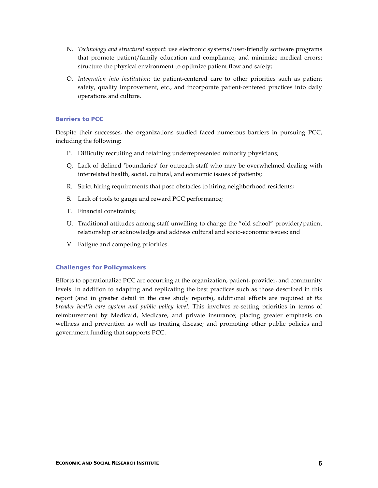- N. *Technology and structural support*: use electronic systems/user-friendly software programs that promote patient/family education and compliance, and minimize medical errors; structure the physical environment to optimize patient flow and safety;
- O. *Integration into institution*: tie patient-centered care to other priorities such as patient safety, quality improvement, etc., and incorporate patient-centered practices into daily operations and culture.

#### Barriers to PCC

Despite their successes, the organizations studied faced numerous barriers in pursuing PCC, including the following:

- P. Difficulty recruiting and retaining underrepresented minority physicians;
- Q. Lack of defined 'boundaries' for outreach staff who may be overwhelmed dealing with interrelated health, social, cultural, and economic issues of patients;
- R. Strict hiring requirements that pose obstacles to hiring neighborhood residents;
- S. Lack of tools to gauge and reward PCC performance;
- T. Financial constraints;
- U. Traditional attitudes among staff unwilling to change the "old school" provider/patient relationship or acknowledge and address cultural and socio-economic issues; and
- V. Fatigue and competing priorities.

#### Challenges for Policymakers

Efforts to operationalize PCC are occurring at the organization, patient, provider, and community levels. In addition to adapting and replicating the best practices such as those described in this report (and in greater detail in the case study reports), additional efforts are required at *the broader health care system and public policy level.* This involves re-setting priorities in terms of reimbursement by Medicaid, Medicare, and private insurance; placing greater emphasis on wellness and prevention as well as treating disease; and promoting other public policies and government funding that supports PCC.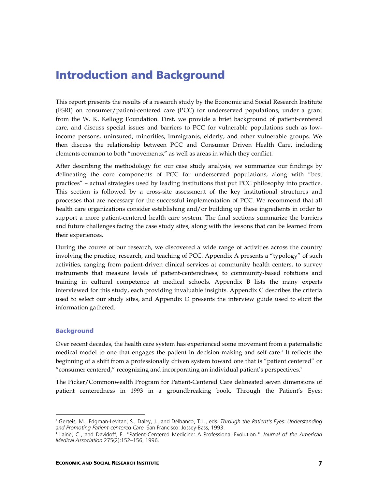### Introduction and Background

This report presents the results of a research study by the Economic and Social Research Institute (ESRI) on consumer/patient-centered care (PCC) for underserved populations, under a grant from the W. K. Kellogg Foundation. First, we provide a brief background of patient-centered care, and discuss special issues and barriers to PCC for vulnerable populations such as lowincome persons, uninsured, minorities, immigrants, elderly, and other vulnerable groups. We then discuss the relationship between PCC and Consumer Driven Health Care, including elements common to both "movements," as well as areas in which they conflict.

After describing the methodology for our case study analysis, we summarize our findings by delineating the core components of PCC for underserved populations, along with "best practices" – actual strategies used by leading institutions that put PCC philosophy into practice. This section is followed by a cross-site assessment of the key institutional structures and processes that are necessary for the successful implementation of PCC. We recommend that all health care organizations consider establishing and/or building up these ingredients in order to support a more patient-centered health care system. The final sections summarize the barriers and future challenges facing the case study sites, along with the lessons that can be learned from their experiences.

During the course of our research, we discovered a wide range of activities across the country involving the practice, research, and teaching of PCC. Appendix A presents a "typology" of such activities, ranging from patient-driven clinical services at community health centers, to survey instruments that measure levels of patient-centeredness, to community-based rotations and training in cultural competence at medical schools. Appendix B lists the many experts interviewed for this study, each providing invaluable insights. Appendix C describes the criteria used to select our study sites, and Appendix D presents the interview guide used to elicit the information gathered.

#### Background

Over recent decades, the health care system has experienced some movement from a paternalistic medical model to one that engages the patient in decision-making and self-care. 3 It reflects the beginning of a shift from a professionally driven system toward one that is "patient centered" or "consumer centered," recognizing and incorporating an individual patient's perspectives. 4

The Picker/Commonwealth Program for Patient-Centered Care delineated seven dimensions of patient centeredness in 1993 in a groundbreaking book, Through the Patient's Eyes:

<sup>-&</sup>lt;br>3 Gerteis, M., Edgman-Levitan, S., Daley, J., and Delbanco, T.L., eds. *Through the Patient's Eyes: Understanding and Promoting Patient-centered Care.* San Francisco: Jossey-Bass, 1993.

<sup>4</sup> Laine, C., and Davidoff, F. "Patient-Centered Medicine: A Professional Evolution." *Journal of the American Medical Association* 275(2):152–156, 1996.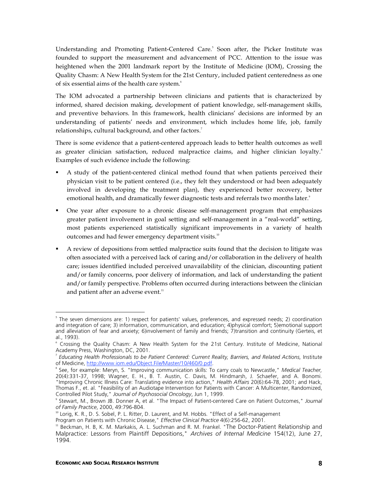Understanding and Promoting Patient-Centered Care. 5 Soon after, the Picker Institute was founded to support the measurement and advancement of PCC. Attention to the issue was heightened when the 2001 landmark report by the Institute of Medicine (IOM), Crossing the Quality Chasm: A New Health System for the 21st Century, included patient centeredness as one of six essential aims of the health care system. 6

The IOM advocated a partnership between clinicians and patients that is characterized by informed, shared decision making, development of patient knowledge, self-management skills, and preventive behaviors. In this framework, health clinicians' decisions are informed by an understanding of patients' needs and environment, which includes home life, job, family relationships, cultural background, and other factors.<sup>7</sup>

There is some evidence that a patient-centered approach leads to better health outcomes as well as greater clinician satisfaction, reduced malpractice claims, and higher clinician loyalty. 8 Examples of such evidence include the following:

- A study of the patient-centered clinical method found that when patients perceived their physician visit to be patient centered (i.e., they felt they understood or had been adequately involved in developing the treatment plan), they experienced better recovery, better emotional health, and dramatically fewer diagnostic tests and referrals two months later. 9
- One year after exposure to a chronic disease self-management program that emphasizes greater patient involvement in goal setting and self-management in a "real-world" setting, most patients experienced statistically significant improvements in a variety of health outcomes and had fewer emergency department visits.<sup>10</sup>
- A review of depositions from settled malpractice suits found that the decision to litigate was often associated with a perceived lack of caring and/or collaboration in the delivery of health care; issues identified included perceived unavailability of the clinician, discounting patient and/or family concerns, poor delivery of information, and lack of understanding the patient and/or family perspective. Problems often occurred during interactions between the clinician and patient after an adverse event. $^{\text{\tiny{11}}}$

<sup>-&</sup>lt;br>5  $5$  The seven dimensions are: 1) respect for patients' values, preferences, and expressed needs; 2) coordination and integration of care; 3) information, communication, and education; 4)physical comfort; 5)emotional support and alleviation of fear and anxiety; 6)involvement of family and friends; 7)transition and continuity (Gerteis, et al., 1993).

<sup>6</sup> Crossing the Quality Chasm: A New Health System for the 21st Century. Institute of Medicine, National Academy Press, Washington, DC, 2001.

<sup>7</sup> *Educating Health Professionals to be Patient Centered: Current Reality, Barriers, and Related Actions,* Institute of Medicine, http://www.iom.edu/Object.File/Master/10/460/0.pdf.

<sup>8</sup> See, for example: Meryn, S. "Improving communication skills: To carry coals to Newcastle," *Medical Teacher,* 20(4):331-37, 1998; Wagner, E. H., B. T. Austin, C. Davis, M. Hindmarsh, J. Schaefer, and A. Bonomi. "Improving Chronic Illness Care: Translating evidence into action," *Health Affairs* 20(6):64-78, 2001; and Hack, Thomas F., et. al. "Feasibility of an Audiotape Intervention for Patients with Cancer: A Multicenter, Randomized, Controlled Pilot Study," *Journal of Psychosocial Oncology*, Jun 1, 1999.

<sup>9</sup> Stewart, M., Brown JB. Donner A, et al. "The Impact of Patient-centered Care on Patient Outcomes," *Journal of Family Practice*, 2000, 49:796-804.

<sup>&</sup>lt;sup>10</sup> Lorig, K. R., D. S. Sobel, P. L. Ritter, D. Laurent, and M. Hobbs. "Effect of a Self-management

Program on Patients with Chronic Disease," *Effective Clinical Practice* 4(6):256-62, 2001.

<sup>&</sup>lt;sup>11</sup> Beckman, H. B, K. M. Markakis, A. L. Suchman and R. M. Frankel. "The Doctor-Patient Relationship and Malpractice: Lessons from Plaintiff Depositions," *Archives of Internal Medicine* 154(12), June 27, 1994.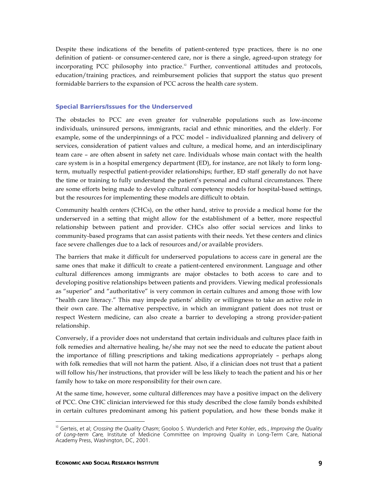Despite these indications of the benefits of patient-centered type practices, there is no one definition of patient- or consumer-centered care, nor is there a single, agreed-upon strategy for incorporating PCC philosophy into practice. <sup>12</sup> Further, conventional attitudes and protocols, education/training practices, and reimbursement policies that support the status quo present formidable barriers to the expansion of PCC across the health care system.

#### Special Barriers/Issues for the Underserved

The obstacles to PCC are even greater for vulnerable populations such as low-income individuals, uninsured persons, immigrants, racial and ethnic minorities, and the elderly. For example, some of the underpinnings of a PCC model – individualized planning and delivery of services, consideration of patient values and culture, a medical home, and an interdisciplinary team care – are often absent in safety net care. Individuals whose main contact with the health care system is in a hospital emergency department (ED), for instance, are not likely to form longterm, mutually respectful patient-provider relationships; further, ED staff generally do not have the time or training to fully understand the patient's personal and cultural circumstances. There are some efforts being made to develop cultural competency models for hospital-based settings, but the resources for implementing these models are difficult to obtain.

Community health centers (CHCs), on the other hand, strive to provide a medical home for the underserved in a setting that might allow for the establishment of a better, more respectful relationship between patient and provider. CHCs also offer social services and links to community-based programs that can assist patients with their needs. Yet these centers and clinics face severe challenges due to a lack of resources and/or available providers.

The barriers that make it difficult for underserved populations to access care in general are the same ones that make it difficult to create a patient-centered environment. Language and other cultural differences among immigrants are major obstacles to both access to care and to developing positive relationships between patients and providers. Viewing medical professionals as "superior" and "authoritative" is very common in certain cultures and among those with low "health care literacy." This may impede patients' ability or willingness to take an active role in their own care. The alternative perspective, in which an immigrant patient does not trust or respect Western medicine, can also create a barrier to developing a strong provider-patient relationship.

Conversely, if a provider does not understand that certain individuals and cultures place faith in folk remedies and alternative healing, he/she may not see the need to educate the patient about the importance of filling prescriptions and taking medications appropriately – perhaps along with folk remedies that will not harm the patient. Also, if a clinician does not trust that a patient will follow his/her instructions, that provider will be less likely to teach the patient and his or her family how to take on more responsibility for their own care.

At the same time, however, some cultural differences may have a positive impact on the delivery of PCC. One CHC clinician interviewed for this study described the close family bonds exhibited in certain cultures predominant among his patient population, and how these bonds make it

 <sup>12</sup> Gerteis, et al; *Crossing the Quality Chasm*; Gooloo S. Wunderlich and Peter Kohler, eds., *Improving the Quality of Long-term Care,* Institute of Medicine Committee on Improving Quality in Long-Term Care, National Academy Press, Washington, DC, 2001.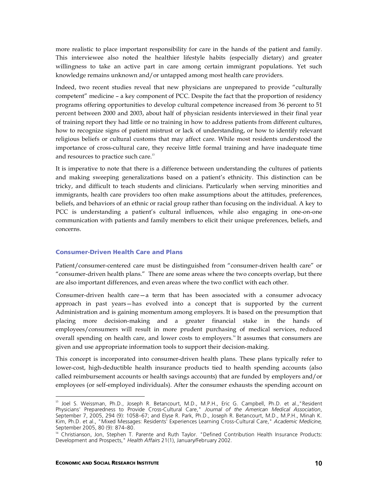more realistic to place important responsibility for care in the hands of the patient and family. This interviewee also noted the healthier lifestyle habits (especially dietary) and greater willingness to take an active part in care among certain immigrant populations. Yet such knowledge remains unknown and/or untapped among most health care providers.

Indeed, two recent studies reveal that new physicians are unprepared to provide "culturally competent" medicine – a key component of PCC. Despite the fact that the proportion of residency programs offering opportunities to develop cultural competence increased from 36 percent to 51 percent between 2000 and 2003, about half of physician residents interviewed in their final year of training report they had little or no training in how to address patients from different cultures, how to recognize signs of patient mistrust or lack of understanding, or how to identify relevant religious beliefs or cultural customs that may affect care. While most residents understood the importance of cross-cultural care, they receive little formal training and have inadequate time and resources to practice such care.<sup>13</sup>

It is imperative to note that there is a difference between understanding the cultures of patients and making sweeping generalizations based on a patient's ethnicity. This distinction can be tricky, and difficult to teach students and clinicians. Particularly when serving minorities and immigrants, health care providers too often make assumptions about the attitudes, preferences, beliefs, and behaviors of an ethnic or racial group rather than focusing on the individual. A key to PCC is understanding a patient's cultural influences, while also engaging in one-on-one communication with patients and family members to elicit their unique preferences, beliefs, and concerns.

#### Consumer-Driven Health Care and Plans

Patient/consumer-centered care must be distinguished from "consumer-driven health care" or "consumer-driven health plans." There are some areas where the two concepts overlap, but there are also important differences, and even areas where the two conflict with each other.

Consumer-driven health care—a term that has been associated with a consumer advocacy approach in past years—has evolved into a concept that is supported by the current Administration and is gaining momentum among employers. It is based on the presumption that placing more decision-making and a greater financial stake in the hands of employees/consumers will result in more prudent purchasing of medical services, reduced overall spending on health care, and lower costs to employers.<sup>14</sup> It assumes that consumers are given and use appropriate information tools to support their decision-making.

This concept is incorporated into consumer-driven health plans. These plans typically refer to lower-cost, high-deductible health insurance products tied to health spending accounts (also called reimbursement accounts or health savings accounts) that are funded by employers and/or employees (or self-employed individuals). After the consumer exhausts the spending account on

 <sup>13</sup> Joel S. Weissman, Ph.D., Joseph R. Betancourt, M.D., M.P.H., Eric G. Campbell, Ph.D. et al.,"Resident Physicians' Preparedness to Provide Cross-Cultural Care," *Journal of the American Medical Association*, September 7, 2005, 294 (9): 1058–67; and Elyse R. Park, Ph.D., Joseph R. Betancourt, M.D., M.P.H., Minah K. Kim, Ph.D. et al., "Mixed Messages: Residents' Experiences Learning Cross-Cultural Care," *Academic Medicine,* September 2005, 80 (9): 874–80.

<sup>&</sup>lt;sup>14</sup> Christianson, Jon, Stephen T. Parente and Ruth Taylor. "Defined Contribution Health Insurance Products: Development and Prospects," *Health Affairs* 21(1), January/February 2002.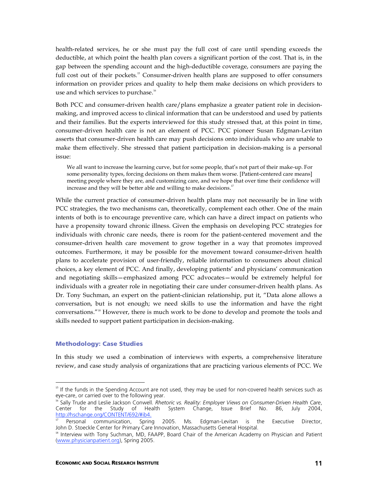health-related services, he or she must pay the full cost of care until spending exceeds the deductible, at which point the health plan covers a significant portion of the cost. That is, in the gap between the spending account and the high-deductible coverage, consumers are paying the full cost out of their pockets.<sup>15</sup> Consumer-driven health plans are supposed to offer consumers information on provider prices and quality to help them make decisions on which providers to use and which services to purchase.<sup>16</sup>

Both PCC and consumer-driven health care/plans emphasize a greater patient role in decisionmaking, and improved access to clinical information that can be understood and used by patients and their families. But the experts interviewed for this study stressed that, at this point in time, consumer-driven health care is not an element of PCC. PCC pioneer Susan Edgman-Levitan asserts that consumer-driven health care may push decisions onto individuals who are unable to make them effectively. She stressed that patient participation in decision-making is a personal issue:

We all want to increase the learning curve, but for some people, that's not part of their make-up. For some personality types, forcing decisions on them makes them worse. [Patient-centered care means] meeting people where they are, and customizing care, and we hope that over time their confidence will increase and they will be better able and willing to make decisions.<sup>17</sup>

While the current practice of consumer-driven health plans may not necessarily be in line with PCC strategies, the two mechanisms can, theoretically, complement each other. One of the main intents of both is to encourage preventive care, which can have a direct impact on patients who have a propensity toward chronic illness. Given the emphasis on developing PCC strategies for individuals with chronic care needs, there is room for the patient-centered movement and the consumer-driven health care movement to grow together in a way that promotes improved outcomes. Furthermore, it may be possible for the movement toward consumer-driven health plans to accelerate provision of user-friendly, reliable information to consumers about clinical choices, a key element of PCC. And finally, developing patients' and physicians' communication and negotiating skills—emphasized among PCC advocates—would be extremely helpful for individuals with a greater role in negotiating their care under consumer-driven health plans. As Dr. Tony Suchman, an expert on the patient-clinician relationship, put it, "Data alone allows a conversation, but is not enough; we need skills to use the information and have the right conversations."18 However, there is much work to be done to develop and promote the tools and skills needed to support patient participation in decision-making.

#### Methodology: Case Studies

In this study we used a combination of interviews with experts, a comprehensive literature review, and case study analysis of organizations that are practicing various elements of PCC. We

<sup>&</sup>lt;sup>15</sup> If the funds in the Spending Account are not used, they may be used for non-covered health services such as eye-care, or carried over to the following year.

<sup>16</sup> Sally Trude and Leslie Jackson Conwell*. Rhetoric vs. Reality: Employer Views on Consumer-Driven Health Care*, Study of Health System Change, Issue Brief No. 86, July 2004, http://hschange.org/CONTENT/692/#ib4.

<sup>17</sup> Personal communication, Spring 2005. Ms. Edgman-Levitan is the Executive Director, John D. Stoeckle Center for Primary Care Innovation, Massachusetts General Hospital.

<sup>&</sup>lt;sup>18</sup> Interview with Tony Suchman, MD, FAAPP, Board Chair of the American Academy on Physician and Patient (www.physicianpatient.org), Spring 2005.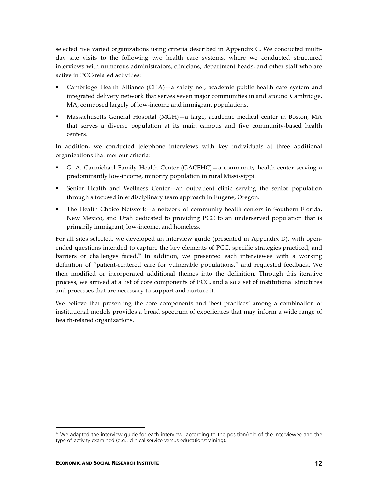selected five varied organizations using criteria described in Appendix C. We conducted multiday site visits to the following two health care systems, where we conducted structured interviews with numerous administrators, clinicians, department heads, and other staff who are active in PCC-related activities:

- Cambridge Health Alliance (CHA)—a safety net, academic public health care system and integrated delivery network that serves seven major communities in and around Cambridge, MA, composed largely of low-income and immigrant populations.
- Massachusetts General Hospital (MGH)—a large, academic medical center in Boston, MA that serves a diverse population at its main campus and five community-based health centers.

In addition, we conducted telephone interviews with key individuals at three additional organizations that met our criteria:

- G. A. Carmichael Family Health Center (GACFHC)—a community health center serving a predominantly low-income, minority population in rural Mississippi.
- Senior Health and Wellness Center—an outpatient clinic serving the senior population through a focused interdisciplinary team approach in Eugene, Oregon.
- The Health Choice Network—a network of community health centers in Southern Florida, New Mexico, and Utah dedicated to providing PCC to an underserved population that is primarily immigrant, low-income, and homeless.

For all sites selected, we developed an interview guide (presented in Appendix D), with openended questions intended to capture the key elements of PCC, specific strategies practiced, and barriers or challenges faced.<sup>19</sup> In addition, we presented each interviewee with a working definition of "patient-centered care for vulnerable populations," and requested feedback. We then modified or incorporated additional themes into the definition. Through this iterative process, we arrived at a list of core components of PCC, and also a set of institutional structures and processes that are necessary to support and nurture it.

We believe that presenting the core components and 'best practices' among a combination of institutional models provides a broad spectrum of experiences that may inform a wide range of health-related organizations.

<sup>&</sup>lt;sup>19</sup> We adapted the interview guide for each interview, according to the position/role of the interviewee and the type of activity examined (e.g., clinical service versus education/training).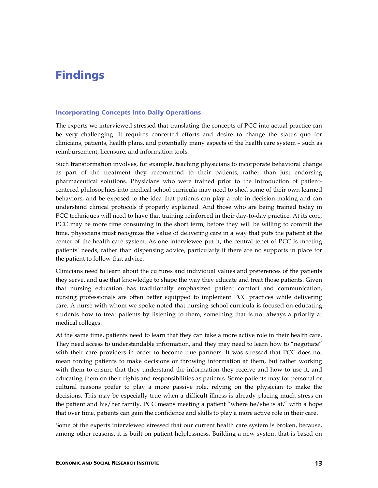### Findings

#### Incorporating Concepts into Daily Operations

The experts we interviewed stressed that translating the concepts of PCC into actual practice can be very challenging. It requires concerted efforts and desire to change the status quo for clinicians, patients, health plans, and potentially many aspects of the health care system – such as reimbursement, licensure, and information tools.

Such transformation involves, for example, teaching physicians to incorporate behavioral change as part of the treatment they recommend to their patients, rather than just endorsing pharmaceutical solutions. Physicians who were trained prior to the introduction of patientcentered philosophies into medical school curricula may need to shed some of their own learned behaviors, and be exposed to the idea that patients can play a role in decision-making and can understand clinical protocols if properly explained. And those who are being trained today in PCC techniques will need to have that training reinforced in their day-to-day practice. At its core, PCC may be more time consuming in the short term; before they will be willing to commit the time, physicians must recognize the value of delivering care in a way that puts the patient at the center of the health care system. As one interviewee put it, the central tenet of PCC is meeting patients' needs, rather than dispensing advice, particularly if there are no supports in place for the patient to follow that advice.

Clinicians need to learn about the cultures and individual values and preferences of the patients they serve, and use that knowledge to shape the way they educate and treat those patients. Given that nursing education has traditionally emphasized patient comfort and communication, nursing professionals are often better equipped to implement PCC practices while delivering care. A nurse with whom we spoke noted that nursing school curricula is focused on educating students how to treat patients by listening to them, something that is not always a priority at medical colleges.

At the same time, patients need to learn that they can take a more active role in their health care. They need access to understandable information, and they may need to learn how to "negotiate" with their care providers in order to become true partners. It was stressed that PCC does not mean forcing patients to make decisions or throwing information at them, but rather working with them to ensure that they understand the information they receive and how to use it, and educating them on their rights and responsibilities as patients. Some patients may for personal or cultural reasons prefer to play a more passive role, relying on the physician to make the decisions. This may be especially true when a difficult illness is already placing much stress on the patient and his/her family. PCC means meeting a patient "where he/she is at," with a hope that over time, patients can gain the confidence and skills to play a more active role in their care.

Some of the experts interviewed stressed that our current health care system is broken, because, among other reasons, it is built on patient helplessness. Building a new system that is based on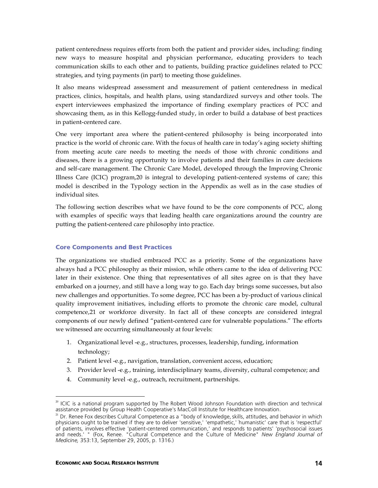patient centeredness requires efforts from both the patient and provider sides, including: finding new ways to measure hospital and physician performance, educating providers to teach communication skills to each other and to patients, building practice guidelines related to PCC strategies, and tying payments (in part) to meeting those guidelines.

It also means widespread assessment and measurement of patient centeredness in medical practices, clinics, hospitals, and health plans, using standardized surveys and other tools. The expert interviewees emphasized the importance of finding exemplary practices of PCC and showcasing them, as in this Kellogg-funded study, in order to build a database of best practices in patient-centered care.

One very important area where the patient-centered philosophy is being incorporated into practice is the world of chronic care. With the focus of health care in today's aging society shifting from meeting acute care needs to meeting the needs of those with chronic conditions and diseases, there is a growing opportunity to involve patients and their families in care decisions and self-care management. The Chronic Care Model, developed through the Improving Chronic Illness Care (ICIC) program,20 is integral to developing patient-centered systems of care; this model is described in the Typology section in the Appendix as well as in the case studies of individual sites.

The following section describes what we have found to be the core components of PCC, along with examples of specific ways that leading health care organizations around the country are putting the patient-centered care philosophy into practice.

#### Core Components and Best Practices

The organizations we studied embraced PCC as a priority. Some of the organizations have always had a PCC philosophy as their mission, while others came to the idea of delivering PCC later in their existence. One thing that representatives of all sites agree on is that they have embarked on a journey, and still have a long way to go. Each day brings some successes, but also new challenges and opportunities. To some degree, PCC has been a by-product of various clinical quality improvement initiatives, including efforts to promote the chronic care model, cultural competence,21 or workforce diversity. In fact all of these concepts are considered integral components of our newly defined "patient-centered care for vulnerable populations." The efforts we witnessed are occurring simultaneously at four levels:

- 1. Organizational level -e.g., structures, processes, leadership, funding, information technology;
- 2. Patient level -e.g., navigation, translation, convenient access, education;
- 3. Provider level -e.g., training, interdisciplinary teams, diversity, cultural competence; and
- 4. Community level -e.g., outreach, recruitment, partnerships.

<sup>&</sup>lt;sup>20</sup> ICIC is a national program supported by The Robert Wood Johnson Foundation with direction and technical assistance provided by Group Health Cooperative's MacColl Institute for Healthcare Innovation.

 $^{21}$  Dr. Renee Fox describes Cultural Competence as a "body of knowledge, skills, attitudes, and behavior in which physicians ought to be trained if they are to deliver 'sensitive,' 'empathetic,' ' humanistic' care that is 'respectful' of patients, involves effective 'patient-centered communication,' and responds to patients' 'psychosocial issues and needs.' " (Fox, Renee. "Cultural Competence and the Culture of Medicine" *New England Journal of Medicine,* 353:13, September 29, 2005, p. 1316.)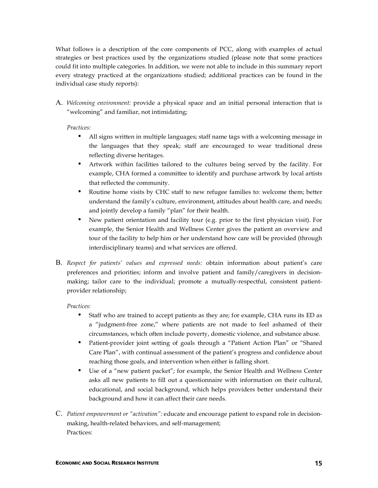What follows is a description of the core components of PCC, along with examples of actual strategies or best practices used by the organizations studied (please note that some practices could fit into multiple categories. In addition, we were not able to include in this summary report every strategy practiced at the organizations studied; additional practices can be found in the individual case study reports):

A. *Welcoming environment:* provide a physical space and an initial personal interaction that is "welcoming" and familiar, not intimidating;

*Practices:*

- All signs written in multiple languages; staff name tags with a welcoming message in the languages that they speak; staff are encouraged to wear traditional dress reflecting diverse heritages.
- Artwork within facilities tailored to the cultures being served by the facility. For example, CHA formed a committee to identify and purchase artwork by local artists that reflected the community.
- Routine home visits by CHC staff to new refugee families to: welcome them; better understand the family's culture, environment, attitudes about health care, and needs; and jointly develop a family "plan" for their health.
- New patient orientation and facility tour (e.g. prior to the first physician visit). For example, the Senior Health and Wellness Center gives the patient an overview and tour of the facility to help him or her understand how care will be provided (through interdisciplinary teams) and what services are offered.
- B. *Respect for patients' values and expressed needs:* obtain information about patient's care preferences and priorities; inform and involve patient and family/caregivers in decisionmaking; tailor care to the individual; promote a mutually-respectful, consistent patientprovider relationship;

#### *Practices:*

- Staff who are trained to accept patients as they are; for example, CHA runs its ED as a "judgment-free zone," where patients are not made to feel ashamed of their circumstances, which often include poverty, domestic violence, and substance abuse.
- Patient-provider joint setting of goals through a "Patient Action Plan" or "Shared Care Plan", with continual assessment of the patient's progress and confidence about reaching those goals, and intervention when either is falling short.
- Use of a "new patient packet"; for example, the Senior Health and Wellness Center asks all new patients to fill out a questionnaire with information on their cultural, educational, and social background, which helps providers better understand their background and how it can affect their care needs.
- C. *Patient empowerment or "activation":* educate and encourage patient to expand role in decisionmaking, health-related behaviors, and self-management; Practices: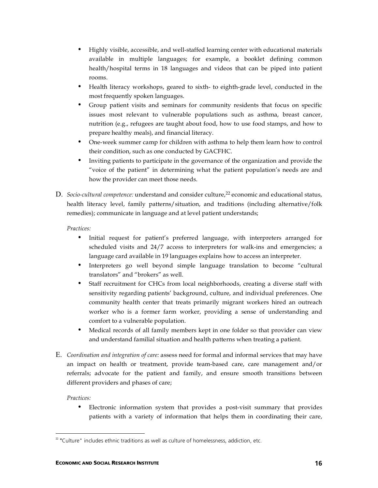- Highly visible, accessible, and well-staffed learning center with educational materials available in multiple languages; for example, a booklet defining common health/hospital terms in 18 languages and videos that can be piped into patient rooms.
- Health literacy workshops, geared to sixth- to eighth-grade level, conducted in the most frequently spoken languages.
- Group patient visits and seminars for community residents that focus on specific issues most relevant to vulnerable populations such as asthma, breast cancer, nutrition (e.g., refugees are taught about food, how to use food stamps, and how to prepare healthy meals), and financial literacy.
- One-week summer camp for children with asthma to help them learn how to control their condition, such as one conducted by GACFHC.
- Inviting patients to participate in the governance of the organization and provide the "voice of the patient" in determining what the patient population's needs are and how the provider can meet those needs.
- D. *Socio-cultural competence:* understand and consider culture, <sup>22</sup> economic and educational status, health literacy level, family patterns/situation, and traditions (including alternative/folk remedies); communicate in language and at level patient understands;

*Practices:*

- Initial request for patient's preferred language, with interpreters arranged for scheduled visits and 24/7 access to interpreters for walk-ins and emergencies; a language card available in 19 languages explains how to access an interpreter.
- Interpreters go well beyond simple language translation to become "cultural translators" and "brokers" as well.
- Staff recruitment for CHCs from local neighborhoods, creating a diverse staff with sensitivity regarding patients' background, culture, and individual preferences. One community health center that treats primarily migrant workers hired an outreach worker who is a former farm worker, providing a sense of understanding and comfort to a vulnerable population.
- Medical records of all family members kept in one folder so that provider can view and understand familial situation and health patterns when treating a patient.
- E. *Coordination and integration of care:* assess need for formal and informal services that may have an impact on health or treatment, provide team-based care, care management and/or referrals; advocate for the patient and family, and ensure smooth transitions between different providers and phases of care;

#### *Practices:*

 Electronic information system that provides a post-visit summary that provides patients with a variety of information that helps them in coordinating their care,

 $22$  "Culture" includes ethnic traditions as well as culture of homelessness, addiction, etc.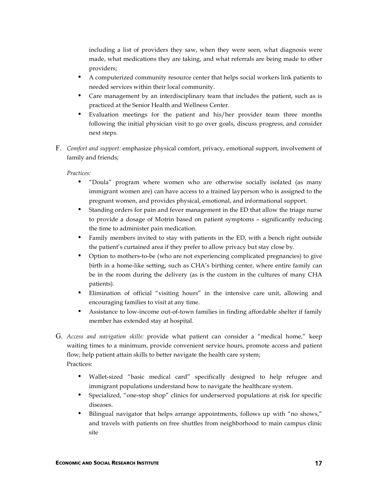including a list of providers they saw, when they were seen, what diagnosis were made, what medications they are taking, and what referrals are being made to other providers;

- A computerized community resource center that helps social workers link patients to needed services within their local community.
- Care management by an interdisciplinary team that includes the patient, such as is practiced at the Senior Health and Wellness Center.
- Evaluation meetings for the patient and his/her provider team three months following the initial physician visit to go over goals, discuss progress, and consider next steps.
- F. *Comfort and support:* emphasize physical comfort, privacy, emotional support, involvement of family and friends;

*Practices:*

- "Doula" program where women who are otherwise socially isolated (as many immigrant women are) can have access to a trained layperson who is assigned to the pregnant women, and provides physical, emotional, and informational support.
- Standing orders for pain and fever management in the ED that allow the triage nurse to provide a dosage of Motrin based on patient symptoms – significantly reducing the time to administer pain medication.
- Family members invited to stay with patients in the ED, with a bench right outside the patient's curtained area if they prefer to allow privacy but stay close by.
- Option to mothers-to-be (who are not experiencing complicated pregnancies) to give birth in a home-like setting, such as CHA's birthing center, where entire family can be in the room during the delivery (as is the custom in the cultures of many CHA patients).
- Elimination of official "visiting hours" in the intensive care unit, allowing and encouraging families to visit at any time.
- Assistance to low-income out-of-town families in finding affordable shelter if family member has extended stay at hospital.
- G. *Access and navigation skills:* provide what patient can consider a "medical home," keep waiting times to a minimum, provide convenient service hours, promote access and patient flow; help patient attain skills to better navigate the health care system; Practices:
	- Wallet-sized "basic medical card" specifically designed to help refugee and immigrant populations understand how to navigate the healthcare system.
	- Specialized, "one-stop shop" clinics for underserved populations at risk for specific diseases.
	- Bilingual navigator that helps arrange appointments, follows up with "no shows," and travels with patients on free shuttles from neighborhood to main campus clinic site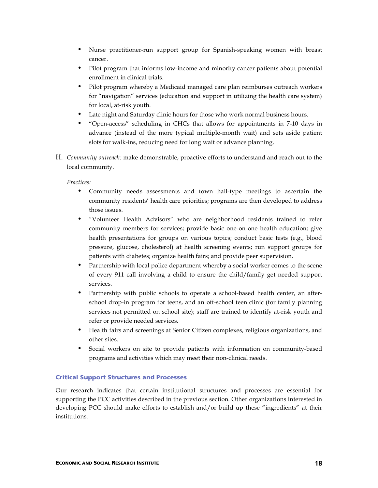- Nurse practitioner-run support group for Spanish-speaking women with breast cancer.
- Pilot program that informs low-income and minority cancer patients about potential enrollment in clinical trials.
- Pilot program whereby a Medicaid managed care plan reimburses outreach workers for "navigation" services (education and support in utilizing the health care system) for local, at-risk youth.
- Late night and Saturday clinic hours for those who work normal business hours.
- "Open-access" scheduling in CHCs that allows for appointments in 7-10 days in advance (instead of the more typical multiple-month wait) and sets aside patient slots for walk-ins, reducing need for long wait or advance planning.
- H. *Community outreach:* make demonstrable, proactive efforts to understand and reach out to the local community.

*Practices:*

- Community needs assessments and town hall-type meetings to ascertain the community residents' health care priorities; programs are then developed to address those issues.
- "Volunteer Health Advisors" who are neighborhood residents trained to refer community members for services; provide basic one-on-one health education; give health presentations for groups on various topics; conduct basic tests (e.g., blood pressure, glucose, cholesterol) at health screening events; run support groups for patients with diabetes; organize health fairs; and provide peer supervision.
- Partnership with local police department whereby a social worker comes to the scene of every 911 call involving a child to ensure the child/family get needed support services.
- Partnership with public schools to operate a school-based health center, an afterschool drop-in program for teens, and an off-school teen clinic (for family planning services not permitted on school site); staff are trained to identify at-risk youth and refer or provide needed services.
- Health fairs and screenings at Senior Citizen complexes, religious organizations, and other sites.
- Social workers on site to provide patients with information on community-based programs and activities which may meet their non-clinical needs.

#### Critical Support Structures and Processes

Our research indicates that certain institutional structures and processes are essential for supporting the PCC activities described in the previous section. Other organizations interested in developing PCC should make efforts to establish and/or build up these "ingredients" at their institutions.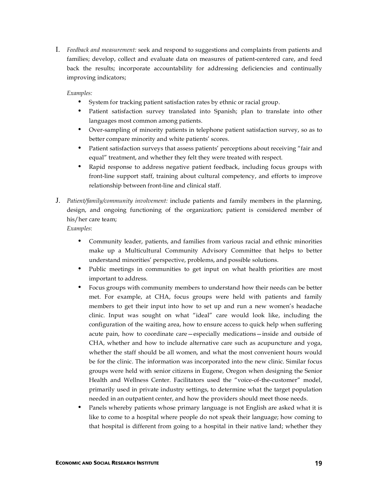I. *Feedback and measurement:* seek and respond to suggestions and complaints from patients and families; develop, collect and evaluate data on measures of patient-centered care, and feed back the results; incorporate accountability for addressing deficiencies and continually improving indicators;

#### *Examples:*

- System for tracking patient satisfaction rates by ethnic or racial group.
- Patient satisfaction survey translated into Spanish; plan to translate into other languages most common among patients.
- Over-sampling of minority patients in telephone patient satisfaction survey, so as to better compare minority and white patients' scores.
- Patient satisfaction surveys that assess patients' perceptions about receiving "fair and equal" treatment, and whether they felt they were treated with respect.
- Rapid response to address negative patient feedback, including focus groups with front-line support staff, training about cultural competency, and efforts to improve relationship between front-line and clinical staff.
- J. *Patient/family/community involvement:* include patients and family members in the planning, design, and ongoing functioning of the organization; patient is considered member of his/her care team;

- Community leader, patients, and families from various racial and ethnic minorities make up a Multicultural Community Advisory Committee that helps to better understand minorities' perspective, problems, and possible solutions.
- Public meetings in communities to get input on what health priorities are most important to address.
- Focus groups with community members to understand how their needs can be better met. For example, at CHA, focus groups were held with patients and family members to get their input into how to set up and run a new women's headache clinic. Input was sought on what "ideal" care would look like, including the configuration of the waiting area, how to ensure access to quick help when suffering acute pain, how to coordinate care—especially medications—inside and outside of CHA, whether and how to include alternative care such as acupuncture and yoga, whether the staff should be all women, and what the most convenient hours would be for the clinic. The information was incorporated into the new clinic. Similar focus groups were held with senior citizens in Eugene, Oregon when designing the Senior Health and Wellness Center. Facilitators used the "voice-of-the-customer" model, primarily used in private industry settings, to determine what the target population needed in an outpatient center, and how the providers should meet those needs.
- Panels whereby patients whose primary language is not English are asked what it is like to come to a hospital where people do not speak their language; how coming to that hospital is different from going to a hospital in their native land; whether they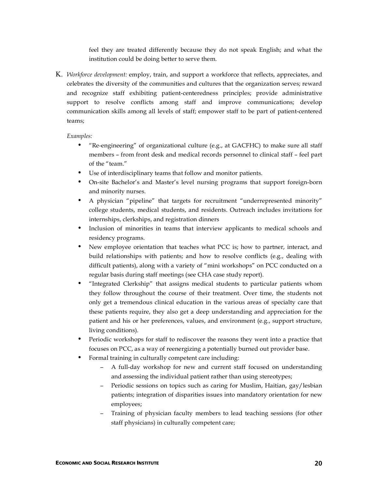feel they are treated differently because they do not speak English; and what the institution could be doing better to serve them.

K. *Workforce development:* employ, train, and support a workforce that reflects, appreciates, and celebrates the diversity of the communities and cultures that the organization serves; reward and recognize staff exhibiting patient-centeredness principles; provide administrative support to resolve conflicts among staff and improve communications; develop communication skills among all levels of staff; empower staff to be part of patient-centered teams;

- "Re-engineering" of organizational culture (e.g., at GACFHC) to make sure all staff members – from front desk and medical records personnel to clinical staff – feel part of the "team."
- Use of interdisciplinary teams that follow and monitor patients.
- On-site Bachelor's and Master's level nursing programs that support foreign-born and minority nurses.
- A physician "pipeline" that targets for recruitment "underrepresented minority" college students, medical students, and residents. Outreach includes invitations for internships, clerkships, and registration dinners
- Inclusion of minorities in teams that interview applicants to medical schools and residency programs.
- New employee orientation that teaches what PCC is; how to partner, interact, and build relationships with patients; and how to resolve conflicts (e.g., dealing with difficult patients), along with a variety of "mini workshops" on PCC conducted on a regular basis during staff meetings (see CHA case study report).
- "Integrated Clerkship" that assigns medical students to particular patients whom they follow throughout the course of their treatment. Over time, the students not only get a tremendous clinical education in the various areas of specialty care that these patients require, they also get a deep understanding and appreciation for the patient and his or her preferences, values, and environment (e.g., support structure, living conditions).
- Periodic workshops for staff to rediscover the reasons they went into a practice that focuses on PCC, as a way of reenergizing a potentially burned out provider base.
- Formal training in culturally competent care including:
	- − A full-day workshop for new and current staff focused on understanding and assessing the individual patient rather than using stereotypes;
	- − Periodic sessions on topics such as caring for Muslim, Haitian, gay/lesbian patients; integration of disparities issues into mandatory orientation for new employees;
	- − Training of physician faculty members to lead teaching sessions (for other staff physicians) in culturally competent care;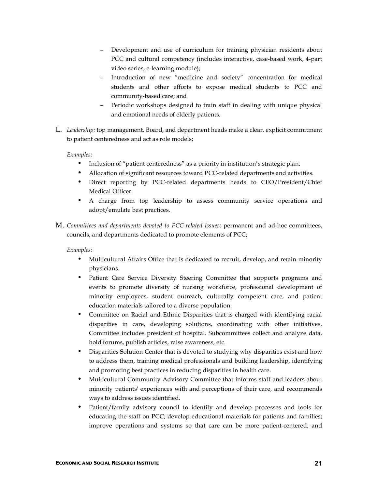- − Development and use of curriculum for training physician residents about PCC and cultural competency (includes interactive, case-based work, 4-part video series, e-learning module);
- Introduction of new "medicine and society" concentration for medical students and other efforts to expose medical students to PCC and community-based care; and
- Periodic workshops designed to train staff in dealing with unique physical and emotional needs of elderly patients.
- L. *Leadership:* top management, Board, and department heads make a clear, explicit commitment to patient centeredness and act as role models;

*Examples:*

- Inclusion of "patient centeredness" as a priority in institution's strategic plan.
- Allocation of significant resources toward PCC-related departments and activities.
- Direct reporting by PCC-related departments heads to CEO/President/Chief Medical Officer.
- A charge from top leadership to assess community service operations and adopt/emulate best practices.
- M. *Committees and departments devoted to PCC-related issues:* permanent and ad-hoc committees, councils, and departments dedicated to promote elements of PCC;

- Multicultural Affairs Office that is dedicated to recruit, develop, and retain minority physicians.
- Patient Care Service Diversity Steering Committee that supports programs and events to promote diversity of nursing workforce, professional development of minority employees, student outreach, culturally competent care, and patient education materials tailored to a diverse population.
- Committee on Racial and Ethnic Disparities that is charged with identifying racial disparities in care, developing solutions, coordinating with other initiatives. Committee includes president of hospital. Subcommittees collect and analyze data, hold forums, publish articles, raise awareness, etc.
- Disparities Solution Center that is devoted to studying why disparities exist and how to address them, training medical professionals and building leadership, identifying and promoting best practices in reducing disparities in health care.
- Multicultural Community Advisory Committee that informs staff and leaders about minority patients' experiences with and perceptions of their care, and recommends ways to address issues identified.
- Patient/family advisory council to identify and develop processes and tools for educating the staff on PCC; develop educational materials for patients and families; improve operations and systems so that care can be more patient-centered; and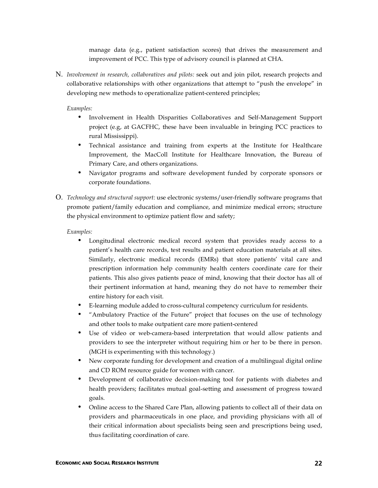manage data (e.g., patient satisfaction scores) that drives the measurement and improvement of PCC. This type of advisory council is planned at CHA.

N. *Involvement in research, collaboratives and pilots:* seek out and join pilot, research projects and collaborative relationships with other organizations that attempt to "push the envelope" in developing new methods to operationalize patient-centered principles;

#### *Examples:*

- Involvement in Health Disparities Collaboratives and Self-Management Support project (e.g, at GACFHC, these have been invaluable in bringing PCC practices to rural Mississippi).
- Technical assistance and training from experts at the Institute for Healthcare Improvement, the MacColl Institute for Healthcare Innovation, the Bureau of Primary Care, and others organizations.
- Navigator programs and software development funded by corporate sponsors or corporate foundations.
- O. *Technology and structural support:* use electronic systems/user-friendly software programs that promote patient/family education and compliance, and minimize medical errors; structure the physical environment to optimize patient flow and safety;

- Longitudinal electronic medical record system that provides ready access to a patient's health care records, test results and patient education materials at all sites. Similarly, electronic medical records (EMRs) that store patients' vital care and prescription information help community health centers coordinate care for their patients. This also gives patients peace of mind, knowing that their doctor has all of their pertinent information at hand, meaning they do not have to remember their entire history for each visit.
- E-learning module added to cross-cultural competency curriculum for residents.
- "Ambulatory Practice of the Future" project that focuses on the use of technology and other tools to make outpatient care more patient-centered
- Use of video or web-camera-based interpretation that would allow patients and providers to see the interpreter without requiring him or her to be there in person. (MGH is experimenting with this technology.)
- New corporate funding for development and creation of a multilingual digital online and CD ROM resource guide for women with cancer.
- Development of collaborative decision-making tool for patients with diabetes and health providers; facilitates mutual goal-setting and assessment of progress toward goals.
- Online access to the Shared Care Plan, allowing patients to collect all of their data on providers and pharmaceuticals in one place, and providing physicians with all of their critical information about specialists being seen and prescriptions being used, thus facilitating coordination of care.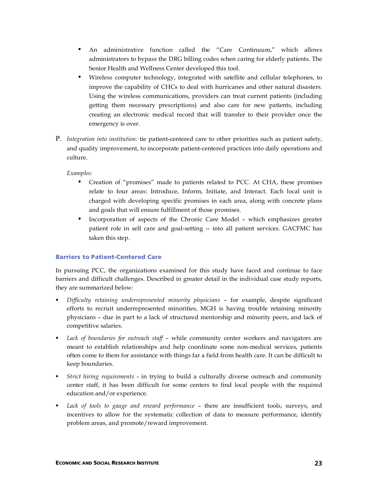- An administrative function called the "Care Continuum," which allows administrators to bypass the DRG billing codes when caring for elderly patients. The Senior Health and Wellness Center developed this tool.
- Wireless computer technology, integrated with satellite and cellular telephones, to improve the capability of CHCs to deal with hurricanes and other natural disasters. Using the wireless communications, providers can treat current patients (including getting them necessary prescriptions) and also care for new patients, including creating an electronic medical record that will transfer to their provider once the emergency is over.
- P. *Integration into institution:* tie patient-centered care to other priorities such as patient safety, and quality improvement, to incorporate patient-centered practices into daily operations and culture.

*Examples:*

- Creation of "promises" made to patients related to PCC. At CHA, these promises relate to four areas: Introduce, Inform, Initiate, and Interact. Each local unit is charged with developing specific promises in each area, along with concrete plans and goals that will ensure fulfillment of those promises.
- Incorporation of aspects of the Chronic Care Model which emphasizes greater patient role in self care and goal-setting -- into all patient services. GACFMC has taken this step.

#### Barriers to Patient-Centered Care

In pursuing PCC, the organizations examined for this study have faced and continue to face barriers and difficult challenges. Described in greater detail in the individual case study reports, they are summarized below:

- *Difficulty retaining underrepresented minority physicians* for example, despite significant efforts to recruit underrepresented minorities, MGH is having trouble retaining minority physicians – due in part to a lack of structured mentorship and minority peers, and lack of competitive salaries.
- *Lack of boundaries for outreach staff* while community center workers and navigators are meant to establish relationships and help coordinate some non-medical services, patients often come to them for assistance with things far a field from health care. It can be difficult to keep boundaries.
- *Strict hiring requirements* in trying to build a culturally diverse outreach and community center staff, it has been difficult for some centers to find local people with the required education and/or experience.
- *Lack of tools to gauge and reward performance* there are insufficient tools, surveys, and incentives to allow for the systematic collection of data to measure performance, identify problem areas, and promote/reward improvement.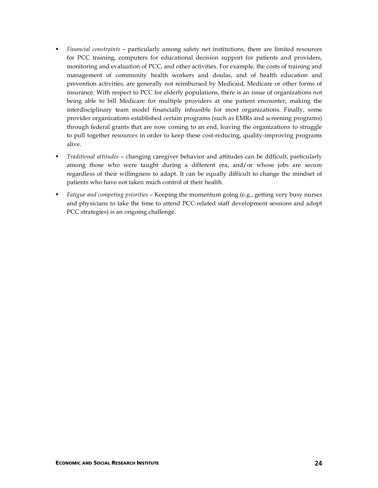- *Financial constraints* particularly among safety net institutions, there are limited resources for PCC training, computers for educational decision support for patients and providers, monitoring and evaluation of PCC, and other activities. For example, the costs of training and management of community health workers and doulas, and of health education and prevention activities, are generally not reimbursed by Medicaid, Medicare or other forms of insurance. With respect to PCC for elderly populations, there is an issue of organizations not being able to bill Medicare for multiple providers at one patient encounter, making the interdisciplinary team model financially infeasible for most organizations. Finally, some provider organizations established certain programs (such as EMRs and screening programs) through federal grants that are now coming to an end, leaving the organizations to struggle to pull together resources in order to keep these cost-reducing, quality-improving programs alive.
- *Traditional attitudes* changing caregiver behavior and attitudes can be difficult, particularly among those who were taught during a different era, and/or whose jobs are secure regardless of their willingness to adapt. It can be equally difficult to change the mindset of patients who have not taken much control of their health.
- *Fatigue and competing priorities* Keeping the momentum going (e.g., getting very busy nurses and physicians to take the time to attend PCC-related staff development sessions and adopt PCC strategies) is an ongoing challenge.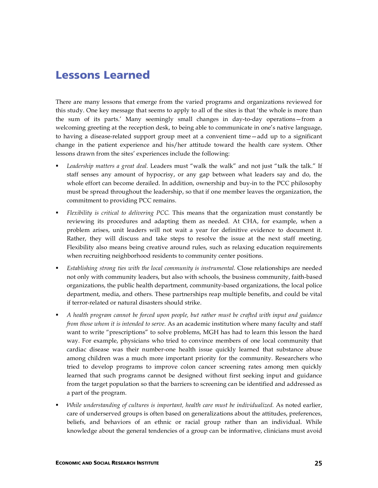### Lessons Learned

There are many lessons that emerge from the varied programs and organizations reviewed for this study. One key message that seems to apply to all of the sites is that 'the whole is more than the sum of its parts.' Many seemingly small changes in day-to-day operations—from a welcoming greeting at the reception desk, to being able to communicate in one's native language, to having a disease-related support group meet at a convenient time—add up to a significant change in the patient experience and his/her attitude toward the health care system. Other lessons drawn from the sites' experiences include the following:

- *Leadership matters a great deal.* Leaders must "walk the walk" and not just "talk the talk." If staff senses any amount of hypocrisy, or any gap between what leaders say and do, the whole effort can become derailed. In addition, ownership and buy-in to the PCC philosophy must be spread throughout the leadership, so that if one member leaves the organization, the commitment to providing PCC remains.
- *Flexibility is critical to delivering PCC.* This means that the organization must constantly be reviewing its procedures and adapting them as needed. At CHA, for example, when a problem arises, unit leaders will not wait a year for definitive evidence to document it. Rather, they will discuss and take steps to resolve the issue at the next staff meeting. Flexibility also means being creative around rules, such as relaxing education requirements when recruiting neighborhood residents to community center positions.
- *Establishing strong ties with the local community is instrumental.* Close relationships are needed not only with community leaders, but also with schools, the business community, faith-based organizations, the public health department, community-based organizations, the local police department, media, and others. These partnerships reap multiple benefits, and could be vital if terror-related or natural disasters should strike.
- *A health program cannot be forced upon people, but rather must be crafted with input and guidance from those whom it is intended to serve.* As an academic institution where many faculty and staff want to write "prescriptions" to solve problems, MGH has had to learn this lesson the hard way. For example, physicians who tried to convince members of one local community that cardiac disease was their number-one health issue quickly learned that substance abuse among children was a much more important priority for the community. Researchers who tried to develop programs to improve colon cancer screening rates among men quickly learned that such programs cannot be designed without first seeking input and guidance from the target population so that the barriers to screening can be identified and addressed as a part of the program.
- *While understanding of cultures is important, health care must be individualized.* As noted earlier, care of underserved groups is often based on generalizations about the attitudes, preferences, beliefs, and behaviors of an ethnic or racial group rather than an individual. While knowledge about the general tendencies of a group can be informative, clinicians must avoid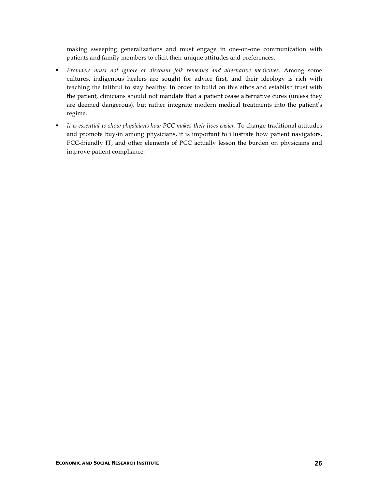making sweeping generalizations and must engage in one-on-one communication with patients and family members to elicit their unique attitudes and preferences.

- *Providers must not ignore or discount folk remedies and alternative medicines.* Among some cultures, indigenous healers are sought for advice first, and their ideology is rich with teaching the faithful to stay healthy. In order to build on this ethos and establish trust with the patient, clinicians should not mandate that a patient cease alternative cures (unless they are deemed dangerous), but rather integrate modern medical treatments into the patient's regime.
- *It is essential to show physicians how PCC makes their lives easier.* To change traditional attitudes and promote buy-in among physicians, it is important to illustrate how patient navigators, PCC-friendly IT, and other elements of PCC actually lesson the burden on physicians and improve patient compliance.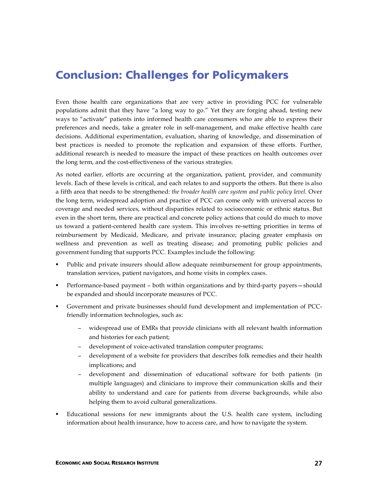### Conclusion: Challenges for Policymakers

Even those health care organizations that are very active in providing PCC for vulnerable populations admit that they have "a long way to go." Yet they are forging ahead, testing new ways to "activate" patients into informed health care consumers who are able to express their preferences and needs, take a greater role in self-management, and make effective health care decisions. Additional experimentation, evaluation, sharing of knowledge, and dissemination of best practices is needed to promote the replication and expansion of these efforts. Further, additional research is needed to measure the impact of these practices on health outcomes over the long term, and the cost-effectiveness of the various strategies.

As noted earlier, efforts are occurring at the organization, patient, provider, and community levels. Each of these levels is critical, and each relates to and supports the others. But there is also a fifth area that needs to be strengthened: *the broader health care system and public policy level.* Over the long term, widespread adoption and practice of PCC can come only with universal access to coverage and needed services, without disparities related to socioeconomic or ethnic status. But even in the short term, there are practical and concrete policy actions that could do much to move us toward a patient-centered health care system. This involves re-setting priorities in terms of reimbursement by Medicaid, Medicare, and private insurance; placing greater emphasis on wellness and prevention as well as treating disease; and promoting public policies and government funding that supports PCC. Examples include the following:

- Public and private insurers should allow adequate reimbursement for group appointments, translation services, patient navigators, and home visits in complex cases.
- Performance-based payment both within organizations and by third-party payers—should be expanded and should incorporate measures of PCC.
- Government and private businesses should fund development and implementation of PCCfriendly information technologies, such as:
	- − widespread use of EMRs that provide clinicians with all relevant health information and histories for each patient;
	- − development of voice-activated translation computer programs;
	- − development of a website for providers that describes folk remedies and their health implications; and
	- − development and dissemination of educational software for both patients (in multiple languages) and clinicians to improve their communication skills and their ability to understand and care for patients from diverse backgrounds, while also helping them to avoid cultural generalizations.
- Educational sessions for new immigrants about the U.S. health care system, including information about health insurance, how to access care, and how to navigate the system.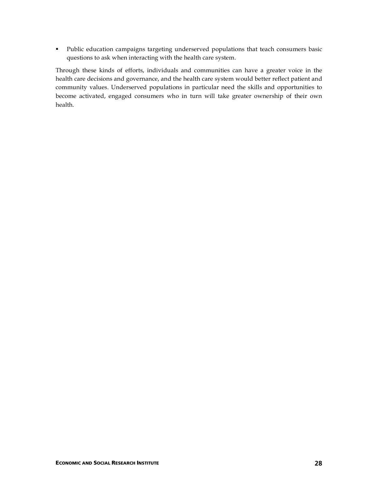**Public education campaigns targeting underserved populations that teach consumers basic** questions to ask when interacting with the health care system.

Through these kinds of efforts, individuals and communities can have a greater voice in the health care decisions and governance, and the health care system would better reflect patient and community values. Underserved populations in particular need the skills and opportunities to become activated, engaged consumers who in turn will take greater ownership of their own health.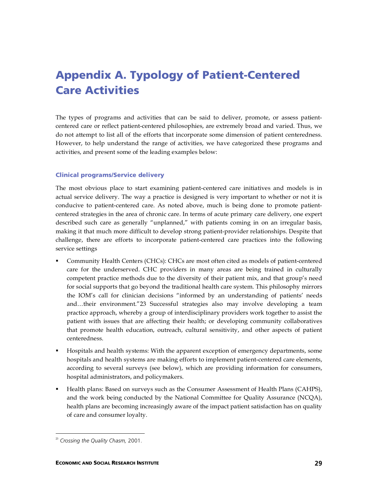# Appendix A. Typology of Patient-Centered Care Activities

The types of programs and activities that can be said to deliver, promote, or assess patientcentered care or reflect patient-centered philosophies, are extremely broad and varied. Thus, we do not attempt to list all of the efforts that incorporate some dimension of patient centeredness. However, to help understand the range of activities, we have categorized these programs and activities, and present some of the leading examples below:

#### Clinical programs/Service delivery

The most obvious place to start examining patient-centered care initiatives and models is in actual service delivery. The way a practice is designed is very important to whether or not it is conducive to patient-centered care. As noted above, much is being done to promote patientcentered strategies in the area of chronic care. In terms of acute primary care delivery, one expert described such care as generally "unplanned," with patients coming in on an irregular basis, making it that much more difficult to develop strong patient-provider relationships. Despite that challenge, there are efforts to incorporate patient-centered care practices into the following service settings

- Community Health Centers (CHCs): CHCs are most often cited as models of patient-centered care for the underserved. CHC providers in many areas are being trained in culturally competent practice methods due to the diversity of their patient mix, and that group's need for social supports that go beyond the traditional health care system. This philosophy mirrors the IOM's call for clinician decisions "informed by an understanding of patients' needs and…their environment."23 Successful strategies also may involve developing a team practice approach, whereby a group of interdisciplinary providers work together to assist the patient with issues that are affecting their health; or developing community collaboratives that promote health education, outreach, cultural sensitivity, and other aspects of patient centeredness.
- Hospitals and health systems: With the apparent exception of emergency departments, some hospitals and health systems are making efforts to implement patient-centered care elements, according to several surveys (see below), which are providing information for consumers, hospital administrators, and policymakers.
- Health plans: Based on surveys such as the Consumer Assessment of Health Plans (CAHPS), and the work being conducted by the National Committee for Quality Assurance (NCQA), health plans are becoming increasingly aware of the impact patient satisfaction has on quality of care and consumer loyalty.

 <sup>23</sup> *Crossing the Quality Chasm,* 2001.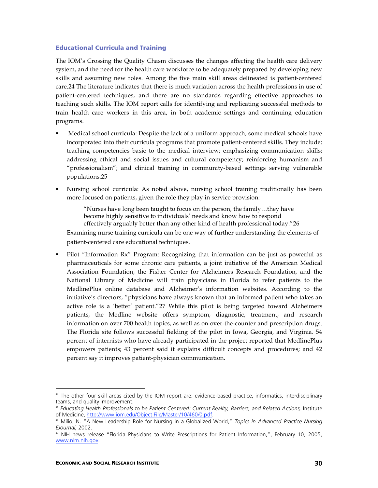#### Educational Curricula and Training

The IOM's Crossing the Quality Chasm discusses the changes affecting the health care delivery system, and the need for the health care workforce to be adequately prepared by developing new skills and assuming new roles. Among the five main skill areas delineated is patient-centered care.24 The literature indicates that there is much variation across the health professions in use of patient-centered techniques, and there are no standards regarding effective approaches to teaching such skills. The IOM report calls for identifying and replicating successful methods to train health care workers in this area, in both academic settings and continuing education programs.

- Medical school curricula: Despite the lack of a uniform approach, some medical schools have incorporated into their curricula programs that promote patient-centered skills. They include: teaching competencies basic to the medical interview; emphasizing communication skills; addressing ethical and social issues and cultural competency; reinforcing humanism and "professionalism"; and clinical training in community-based settings serving vulnerable populations.25
- Nursing school curricula: As noted above, nursing school training traditionally has been more focused on patients, given the role they play in service provision:

"Nurses have long been taught to focus on the person, the family…they have become highly sensitive to individuals' needs and know how to respond effectively arguably better than any other kind of health professional today."26

Examining nurse training curricula can be one way of further understanding the elements of patient-centered care educational techniques.

 Pilot "Information Rx" Program: Recognizing that information can be just as powerful as pharmaceuticals for some chronic care patients, a joint initiative of the American Medical Association Foundation, the Fisher Center for Alzheimers Research Foundation, and the National Library of Medicine will train physicians in Florida to refer patients to the MedlinePlus online database and Alzheimer's information websites. According to the initiative's directors, "physicians have always known that an informed patient who takes an active role is a 'better' patient."27 While this pilot is being targeted toward Alzheimers patients, the Medline website offers symptom, diagnostic, treatment, and research information on over 700 health topics, as well as on over-the-counter and prescription drugs. The Florida site follows successful fielding of the pilot in Iowa, Georgia, and Virginia. 54 percent of internists who have already participated in the project reported that MedlinePlus empowers patients; 43 percent said it explains difficult concepts and procedures; and 42 percent say it improves patient-physician communication.

<sup>&</sup>lt;sup>24</sup> The other four skill areas cited by the IOM report are: evidence-based practice, informatics, interdisciplinary teams, and quality improvement.

<sup>25</sup> *Educating Health Professionals to be Patient Centered: Current Reality, Barriers, and Related Actions,* Institute of Medicine, http://www.iom.edu/Object.File/Master/10/460/0.pdf.

<sup>26</sup> Milio, N. "A New Leadership Role for Nursing in a Globalized World," *Topics in Advanced Practice Nursing EJournal,* 2002.

<sup>27</sup> NIH news release "Florida Physicians to Write Prescriptions for Patient Information,", February 10, 2005, www.nlm.nih.gov.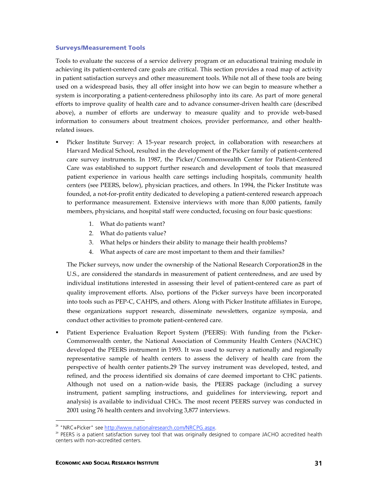#### Surveys/Measurement Tools

Tools to evaluate the success of a service delivery program or an educational training module in achieving its patient-centered care goals are critical. This section provides a road map of activity in patient satisfaction surveys and other measurement tools. While not all of these tools are being used on a widespread basis, they all offer insight into how we can begin to measure whether a system is incorporating a patient-centeredness philosophy into its care. As part of more general efforts to improve quality of health care and to advance consumer-driven health care (described above), a number of efforts are underway to measure quality and to provide web-based information to consumers about treatment choices, provider performance, and other healthrelated issues.

- Picker Institute Survey: A 15-year research project, in collaboration with researchers at Harvard Medical School, resulted in the development of the Picker family of patient-centered care survey instruments. In 1987, the Picker/Commonwealth Center for Patient-Centered Care was established to support further research and development of tools that measured patient experience in various health care settings including hospitals, community health centers (see PEERS, below), physician practices, and others. In 1994, the Picker Institute was founded, a not-for-profit entity dedicated to developing a patient-centered research approach to performance measurement. Extensive interviews with more than 8,000 patients, family members, physicians, and hospital staff were conducted, focusing on four basic questions:
	- 1. What do patients want?
	- 2. What do patients value?
	- 3. What helps or hinders their ability to manage their health problems?
	- 4. What aspects of care are most important to them and their families?

The Picker surveys, now under the ownership of the National Research Corporation28 in the U.S., are considered the standards in measurement of patient centeredness, and are used by individual institutions interested in assessing their level of patient-centered care as part of quality improvement efforts. Also, portions of the Picker surveys have been incorporated into tools such as PEP-C, CAHPS, and others. Along with Picker Institute affiliates in Europe, these organizations support research, disseminate newsletters, organize symposia, and conduct other activities to promote patient-centered care.

 Patient Experience Evaluation Report System (PEERS): With funding from the Picker-Commonwealth center, the National Association of Community Health Centers (NACHC) developed the PEERS instrument in 1993. It was used to survey a nationally and regionally representative sample of health centers to assess the delivery of health care from the perspective of health center patients.29 The survey instrument was developed, tested, and refined, and the process identified six domains of care deemed important to CHC patients. Although not used on a nation-wide basis, the PEERS package (including a survey instrument, patient sampling instructions, and guidelines for interviewing, report and analysis) is available to individual CHCs. The most recent PEERS survey was conducted in 2001 using 76 health centers and involving 3,877 interviews.

<sup>&</sup>lt;sup>28</sup> "NRC+Picker" see http://www.nationalresearch.com/NRCPG.aspx.

<sup>&</sup>lt;sup>29</sup> PEERS is a patient satisfaction survey tool that was originally designed to compare JACHO accredited health centers with non-accredited centers.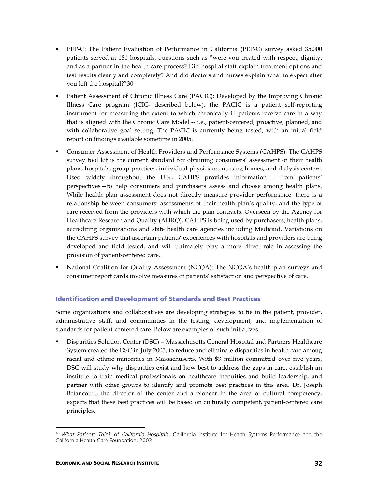- PEP-C: The Patient Evaluation of Performance in California (PEP-C) survey asked 35,000 patients served at 181 hospitals, questions such as "were you treated with respect, dignity, and as a partner in the health care process? Did hospital staff explain treatment options and test results clearly and completely? And did doctors and nurses explain what to expect after you left the hospital?"30
- Patient Assessment of Chronic Illness Care (PACIC): Developed by the Improving Chronic Illness Care program (ICIC- described below), the PACIC is a patient self-reporting instrument for measuring the extent to which chronically ill patients receive care in a way that is aligned with the Chronic Care Model -- i.e., patient-centered, proactive, planned, and with collaborative goal setting. The PACIC is currently being tested, with an initial field report on findings available sometime in 2005.
- Consumer Assessment of Health Providers and Performance Systems (CAHPS): The CAHPS survey tool kit is the current standard for obtaining consumers' assessment of their health plans, hospitals, group practices, individual physicians, nursing homes, and dialysis centers. Used widely throughout the U.S., CAHPS provides information – from patients' perspectives—to help consumers and purchasers assess and choose among health plans. While health plan assessment does not directly measure provider performance, there is a relationship between consumers' assessments of their health plan's quality, and the type of care received from the providers with which the plan contracts. Overseen by the Agency for Healthcare Research and Quality (AHRQ), CAHPS is being used by purchasers, health plans, accrediting organizations and state health care agencies including Medicaid. Variations on the CAHPS survey that ascertain patients' experiences with hospitals and providers are being developed and field tested, and will ultimately play a more direct role in assessing the provision of patient-centered care.
- National Coalition for Quality Assessment (NCQA): The NCQA's health plan surveys and consumer report cards involve measures of patients' satisfaction and perspective of care.

#### Identification and Development of Standards and Best Practices

Some organizations and collaboratives are developing strategies to tie in the patient, provider, administrative staff, and communities in the testing, development, and implementation of standards for patient-centered care. Below are examples of such initiatives.

 Disparities Solution Center (DSC) – Massachusetts General Hospital and Partners Healthcare System created the DSC in July 2005, to reduce and eliminate disparities in health care among racial and ethnic minorities in Massachusetts. With \$3 million committed over five years, DSC will study why disparities exist and how best to address the gaps in care, establish an institute to train medical professionals on healthcare inequities and build leadership, and partner with other groups to identify and promote best practices in this area. Dr. Joseph Betancourt, the director of the center and a pioneer in the area of cultural competency, expects that these best practices will be based on culturally competent, patient-centered care principles.

 <sup>30</sup> *What Patients Think of California Hospitals*, California Institute for Health Systems Performance and the California Health Care Foundation, 2003.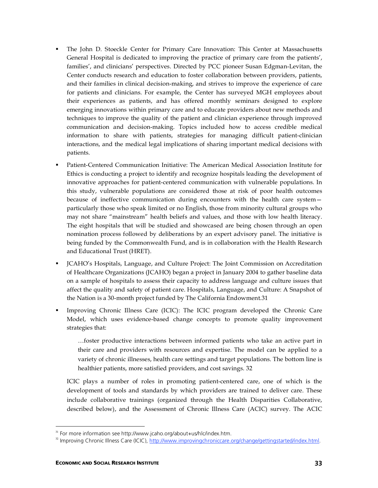- The John D. Stoeckle Center for Primary Care Innovation: This Center at Massachusetts General Hospital is dedicated to improving the practice of primary care from the patients', families', and clinicians' perspectives. Directed by PCC pioneer Susan Edgman-Levitan, the Center conducts research and education to foster collaboration between providers, patients, and their families in clinical decision-making, and strives to improve the experience of care for patients and clinicians. For example, the Center has surveyed MGH employees about their experiences as patients, and has offered monthly seminars designed to explore emerging innovations within primary care and to educate providers about new methods and techniques to improve the quality of the patient and clinician experience through improved communication and decision-making. Topics included how to access credible medical information to share with patients, strategies for managing difficult patient-clinician interactions, and the medical legal implications of sharing important medical decisions with patients.
- Patient-Centered Communication Initiative: The American Medical Association Institute for Ethics is conducting a project to identify and recognize hospitals leading the development of innovative approaches for patient-centered communication with vulnerable populations. In this study, vulnerable populations are considered those at risk of poor health outcomes because of ineffective communication during encounters with the health care system particularly those who speak limited or no English, those from minority cultural groups who may not share "mainstream" health beliefs and values, and those with low health literacy. The eight hospitals that will be studied and showcased are being chosen through an open nomination process followed by deliberations by an expert advisory panel. The initiative is being funded by the Commonwealth Fund, and is in collaboration with the Health Research and Educational Trust (HRET).
- JCAHO's Hospitals, Language, and Culture Project: The Joint Commission on Accreditation of Healthcare Organizations (JCAHO) began a project in January 2004 to gather baseline data on a sample of hospitals to assess their capacity to address language and culture issues that affect the quality and safety of patient care. Hospitals, Language, and Culture: A Snapshot of the Nation is a 30-month project funded by The California Endowment.31
- Improving Chronic Illness Care (ICIC): The ICIC program developed the Chronic Care Model, which uses evidence-based change concepts to promote quality improvement strategies that:

…foster productive interactions between informed patients who take an active part in their care and providers with resources and expertise. The model can be applied to a variety of chronic illnesses, health care settings and target populations. The bottom line is healthier patients, more satisfied providers, and cost savings. 32

ICIC plays a number of roles in promoting patient-centered care, one of which is the development of tools and standards by which providers are trained to deliver care. These include collaborative trainings (organized through the Health Disparities Collaborative, described below), and the Assessment of Chronic Illness Care (ACIC) survey. The ACIC

<sup>&</sup>lt;sup>31</sup> For more information see http://www.jcaho.org/about+us/hlc/index.htm.

<sup>&</sup>lt;sup>32</sup> Improving Chronic Illness Care (ICIC), http://www.improvingchroniccare.org/change/gettingstarted/index.html.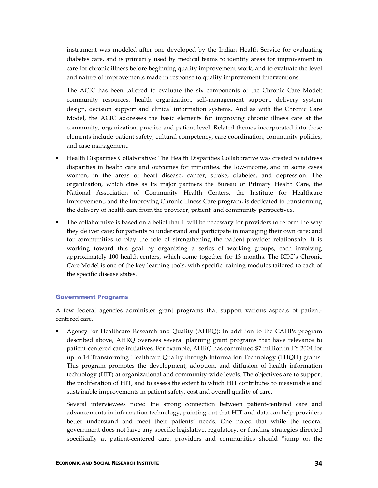instrument was modeled after one developed by the Indian Health Service for evaluating diabetes care, and is primarily used by medical teams to identify areas for improvement in care for chronic illness before beginning quality improvement work, and to evaluate the level and nature of improvements made in response to quality improvement interventions.

The ACIC has been tailored to evaluate the six components of the Chronic Care Model: community resources, health organization, self-management support, delivery system design, decision support and clinical information systems. And as with the Chronic Care Model, the ACIC addresses the basic elements for improving chronic illness care at the community, organization, practice and patient level. Related themes incorporated into these elements include patient safety, cultural competency, care coordination, community policies, and case management.

- Health Disparities Collaborative: The Health Disparities Collaborative was created to address disparities in health care and outcomes for minorities, the low-income, and in some cases women, in the areas of heart disease, cancer, stroke, diabetes, and depression. The organization, which cites as its major partners the Bureau of Primary Health Care, the National Association of Community Health Centers, the Institute for Healthcare Improvement, and the Improving Chronic Illness Care program, is dedicated to transforming the delivery of health care from the provider, patient, and community perspectives.
- The collaborative is based on a belief that it will be necessary for providers to reform the way they deliver care; for patients to understand and participate in managing their own care; and for communities to play the role of strengthening the patient-provider relationship. It is working toward this goal by organizing a series of working groups, each involving approximately 100 health centers, which come together for 13 months. The ICIC's Chronic Care Model is one of the key learning tools, with specific training modules tailored to each of the specific disease states.

#### Government Programs

A few federal agencies administer grant programs that support various aspects of patientcentered care.

 Agency for Healthcare Research and Quality (AHRQ): In addition to the CAHPs program described above, AHRQ oversees several planning grant programs that have relevance to patient-centered care initiatives. For example, AHRQ has committed \$7 million in FY 2004 for up to 14 Transforming Healthcare Quality through Information Technology (THQIT) grants. This program promotes the development, adoption, and diffusion of health information technology (HIT) at organizational and community-wide levels. The objectives are to support the proliferation of HIT, and to assess the extent to which HIT contributes to measurable and sustainable improvements in patient safety, cost and overall quality of care.

Several interviewees noted the strong connection between patient-centered care and advancements in information technology, pointing out that HIT and data can help providers better understand and meet their patients' needs. One noted that while the federal government does not have any specific legislative, regulatory, or funding strategies directed specifically at patient-centered care, providers and communities should "jump on the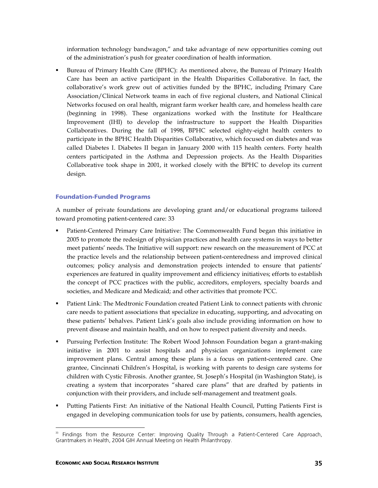information technology bandwagon," and take advantage of new opportunities coming out of the administration's push for greater coordination of health information.

 Bureau of Primary Health Care (BPHC): As mentioned above, the Bureau of Primary Health Care has been an active participant in the Health Disparities Collaborative. In fact, the collaborative's work grew out of activities funded by the BPHC, including Primary Care Association/Clinical Network teams in each of five regional clusters, and National Clinical Networks focused on oral health, migrant farm worker health care, and homeless health care (beginning in 1998). These organizations worked with the Institute for Healthcare Improvement (IHI) to develop the infrastructure to support the Health Disparities Collaboratives. During the fall of 1998, BPHC selected eighty-eight health centers to participate in the BPHC Health Disparities Collaborative, which focused on diabetes and was called Diabetes I. Diabetes II began in January 2000 with 115 health centers. Forty health centers participated in the Asthma and Depression projects. As the Health Disparities Collaborative took shape in 2001, it worked closely with the BPHC to develop its current design.

#### Foundation-Funded Programs

A number of private foundations are developing grant and/or educational programs tailored toward promoting patient-centered care: 33

- Patient-Centered Primary Care Initiative: The Commonwealth Fund began this initiative in 2005 to promote the redesign of physician practices and health care systems in ways to better meet patients' needs. The Initiative will support: new research on the measurement of PCC at the practice levels and the relationship between patient-centeredness and improved clinical outcomes; policy analysis and demonstration projects intended to ensure that patients' experiences are featured in quality improvement and efficiency initiatives; efforts to establish the concept of PCC practices with the public, accreditors, employers, specialty boards and societies, and Medicare and Medicaid; and other activities that promote PCC.
- Patient Link: The Medtronic Foundation created Patient Link to connect patients with chronic care needs to patient associations that specialize in educating, supporting, and advocating on these patients' behalves. Patient Link's goals also include providing information on how to prevent disease and maintain health, and on how to respect patient diversity and needs.
- Pursuing Perfection Institute: The Robert Wood Johnson Foundation began a grant-making initiative in 2001 to assist hospitals and physician organizations implement care improvement plans. Central among these plans is a focus on patient-centered care. One grantee, Cincinnati Children's Hospital, is working with parents to design care systems for children with Cystic Fibrosis. Another grantee, St. Joseph's Hospital (in Washington State), is creating a system that incorporates "shared care plans" that are drafted by patients in conjunction with their providers, and include self-management and treatment goals.
- Putting Patients First: An initiative of the National Health Council, Putting Patients First is engaged in developing communication tools for use by patients, consumers, health agencies,

Findings from the Resource Center: Improving Quality Through a Patient-Centered Care Approach, Grantmakers in Health, 2004 GIH Annual Meeting on Health Philanthropy.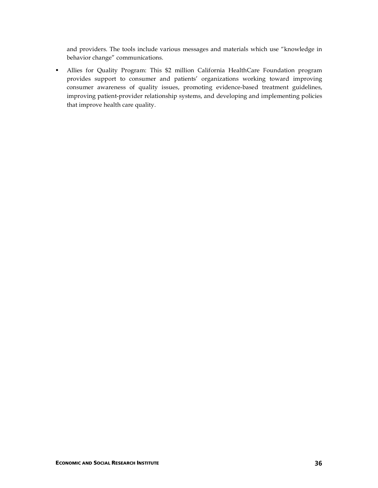and providers. The tools include various messages and materials which use "knowledge in behavior change" communications.

 Allies for Quality Program: This \$2 million California HealthCare Foundation program provides support to consumer and patients' organizations working toward improving consumer awareness of quality issues, promoting evidence-based treatment guidelines, improving patient-provider relationship systems, and developing and implementing policies that improve health care quality.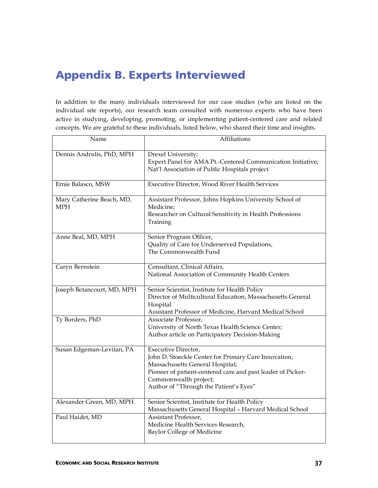# Appendix B. Experts Interviewed

In addition to the many individuals interviewed for our case studies (who are listed on the individual site reports), our research team consulted with numerous experts who have been active in studying, developing, promoting, or implementing patient-centered care and related concepts. We are grateful to these individuals, listed below, who shared their time and insights.

| Name                                    | <b>Affiliations</b>                                                                                                                                                                                                                              |
|-----------------------------------------|--------------------------------------------------------------------------------------------------------------------------------------------------------------------------------------------------------------------------------------------------|
| Dennis Andrulis, PhD, MPH               | Drexel University;<br>Expert Panel for AMA Pt.-Centered Communication Initiative;<br>Nat'l Association of Public Hospitals project                                                                                                               |
| Ernie Balasco, MSW                      | Executive Director, Wood River Health Services                                                                                                                                                                                                   |
| Mary Catherine Beach, MD,<br><b>MPH</b> | Assistant Professor, Johns Hopkins University School of<br>Medicine;<br>Researcher on Cultural Sensitivity in Health Professions<br>Training                                                                                                     |
| Anne Beal, MD, MPH                      | Senior Program Officer,<br>Quality of Care for Underserved Populations,<br>The Commonwealth Fund                                                                                                                                                 |
| Caryn Bernstein                         | Consultant, Clinical Affairs,<br>National Association of Community Health Centers                                                                                                                                                                |
| Joseph Betancourt, MD, MPH              | Senior Scientist, Institute for Health Policy<br>Director of Multicultural Education, Massachusetts General<br>Hospital<br>Assistant Professor of Medicine, Harvard Medical School                                                               |
| Ty Borders, PhD                         | Associate Professor,<br>University of North Texas Health Science Center;<br>Author article on Participatory Decision-Making                                                                                                                      |
| Susan Edgeman-Levitan, PA               | Executive Director,<br>John D. Stoeckle Center for Primary Care Innovation,<br>Massachusetts General Hospital;<br>Pioneer of patient-centered care and past leader of Picker-<br>Commonwealth project;<br>Author of "Through the Patient's Eyes" |
| Alexander Green, MD, MPH                | Senior Scientist, Institute for Health Policy<br>Massachusetts General Hospital - Harvard Medical School                                                                                                                                         |
| Paul Haidet, MD                         | Assistant Professor,<br>Medicine Health Services Research,<br>Baylor College of Medicine                                                                                                                                                         |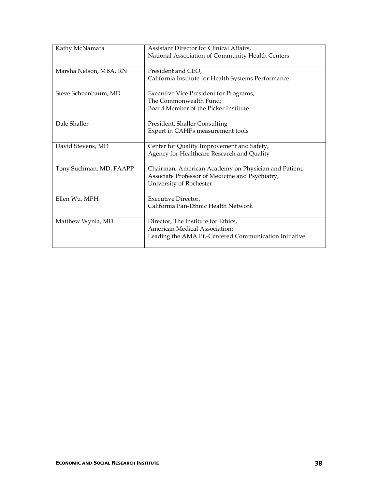| Kathy McNamara          | Assistant Director for Clinical Affairs,<br>National Association of Community Health Centers                                       |
|-------------------------|------------------------------------------------------------------------------------------------------------------------------------|
| Marsha Nelson, MBA, RN  | President and CEO,<br>California Institute for Health Systems Performance                                                          |
| Steve Schoenbaum, MD    | Executive Vice President for Programs,<br>The Commonwealth Fund:<br>Board Member of the Picker Institute                           |
| Dale Shaller            | President, Shaller Consulting<br>Expert in CAHPs measurement tools                                                                 |
| David Stevens, MD       | Center for Quality Improvement and Safety,<br>Agency for Healthcare Research and Quality                                           |
| Tony Suchman, MD, FAAPP | Chairman, American Academy on Physician and Patient;<br>Associate Professor of Medicine and Psychiatry,<br>University of Rochester |
| Ellen Wu, MPH           | Executive Director,<br>California Pan-Ethnic Health Network                                                                        |
| Matthew Wynia, MD       | Director, The Institute for Ethics,<br>American Medical Association;<br>Leading the AMA Pt.-Centered Communication Initiative      |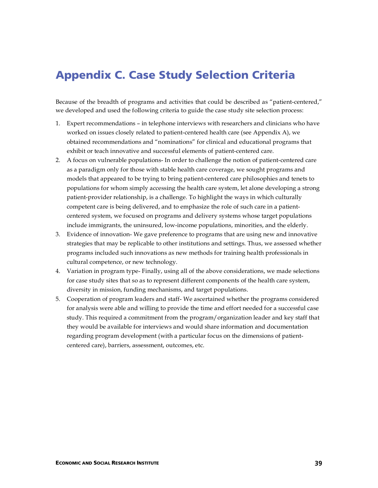### Appendix C. Case Study Selection Criteria

Because of the breadth of programs and activities that could be described as "patient-centered," we developed and used the following criteria to guide the case study site selection process:

- 1. Expert recommendations in telephone interviews with researchers and clinicians who have worked on issues closely related to patient-centered health care (see Appendix A), we obtained recommendations and "nominations" for clinical and educational programs that exhibit or teach innovative and successful elements of patient-centered care.
- 2. A focus on vulnerable populations- In order to challenge the notion of patient-centered care as a paradigm only for those with stable health care coverage, we sought programs and models that appeared to be trying to bring patient-centered care philosophies and tenets to populations for whom simply accessing the health care system, let alone developing a strong patient-provider relationship, is a challenge. To highlight the ways in which culturally competent care is being delivered, and to emphasize the role of such care in a patientcentered system, we focused on programs and delivery systems whose target populations include immigrants, the uninsured, low-income populations, minorities, and the elderly.
- 3. Evidence of innovation- We gave preference to programs that are using new and innovative strategies that may be replicable to other institutions and settings. Thus, we assessed whether programs included such innovations as new methods for training health professionals in cultural competence, or new technology.
- 4. Variation in program type- Finally, using all of the above considerations, we made selections for case study sites that so as to represent different components of the health care system, diversity in mission, funding mechanisms, and target populations.
- 5. Cooperation of program leaders and staff- We ascertained whether the programs considered for analysis were able and willing to provide the time and effort needed for a successful case study. This required a commitment from the program/organization leader and key staff that they would be available for interviews and would share information and documentation regarding program development (with a particular focus on the dimensions of patientcentered care), barriers, assessment, outcomes, etc.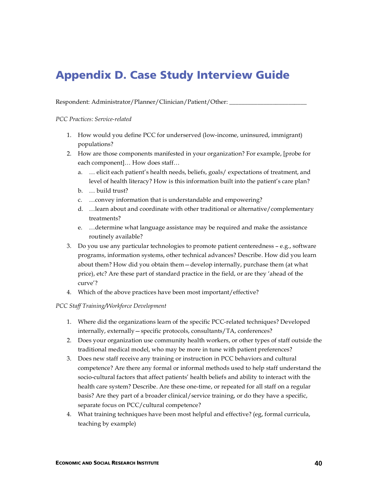# Appendix D. Case Study Interview Guide

Respondent: Administrator/Planner/Clinician/Patient/Other:

*PCC Practices: Service-related*

- 1. How would you define PCC for underserved (low-income, uninsured, immigrant) populations?
- 2. How are those components manifested in your organization? For example, [probe for each component]… How does staff…
	- a. … elicit each patient's health needs, beliefs, goals/ expectations of treatment, and level of health literacy? How is this information built into the patient's care plan?
	- b. … build trust?
	- c. …convey information that is understandable and empowering?
	- d. …learn about and coordinate with other traditional or alternative/complementary treatments?
	- e. …determine what language assistance may be required and make the assistance routinely available?
- 3. Do you use any particular technologies to promote patient centeredness e.g., software programs, information systems, other technical advances? Describe. How did you learn about them? How did you obtain them—develop internally, purchase them (at what price), etc? Are these part of standard practice in the field, or are they 'ahead of the curve'?
- 4. Which of the above practices have been most important/effective?

#### *PCC Staff Training/Workforce Development*

- 1. Where did the organizations learn of the specific PCC-related techniques? Developed internally, externally—specific protocols, consultants/TA, conferences?
- 2. Does your organization use community health workers, or other types of staff outside the traditional medical model, who may be more in tune with patient preferences?
- 3. Does new staff receive any training or instruction in PCC behaviors and cultural competence? Are there any formal or informal methods used to help staff understand the socio-cultural factors that affect patients' health beliefs and ability to interact with the health care system? Describe. Are these one-time, or repeated for all staff on a regular basis? Are they part of a broader clinical/service training, or do they have a specific, separate focus on PCC/cultural competence?
- 4. What training techniques have been most helpful and effective? (eg, formal curricula, teaching by example)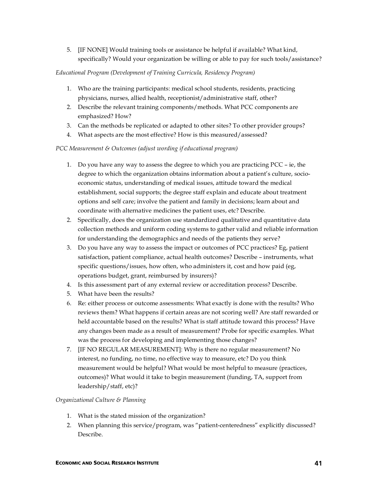5. [IF NONE] Would training tools or assistance be helpful if available? What kind, specifically? Would your organization be willing or able to pay for such tools/assistance?

#### *Educational Program (Development of Training Curricula, Residency Program)*

- 1. Who are the training participants: medical school students, residents, practicing physicians, nurses, allied health, receptionist/administrative staff, other?
- 2. Describe the relevant training components/methods. What PCC components are emphasized? How?
- 3. Can the methods be replicated or adapted to other sites? To other provider groups?
- 4. What aspects are the most effective? How is this measured/assessed?

#### *PCC Measurement & Outcomes (adjust wording if educational program)*

- 1. Do you have any way to assess the degree to which you are practicing PCC ie, the degree to which the organization obtains information about a patient's culture, socioeconomic status, understanding of medical issues, attitude toward the medical establishment, social supports; the degree staff explain and educate about treatment options and self care; involve the patient and family in decisions; learn about and coordinate with alternative medicines the patient uses, etc? Describe.
- 2. Specifically, does the organization use standardized qualitative and quantitative data collection methods and uniform coding systems to gather valid and reliable information for understanding the demographics and needs of the patients they serve?
- 3. Do you have any way to assess the impact or outcomes of PCC practices? Eg, patient satisfaction, patient compliance, actual health outcomes? Describe – instruments, what specific questions/issues, how often, who administers it, cost and how paid (eg, operations budget, grant, reimbursed by insurers)?
- 4. Is this assessment part of any external review or accreditation process? Describe.
- 5. What have been the results?
- 6. Re: either process or outcome assessments: What exactly is done with the results? Who reviews them? What happens if certain areas are not scoring well? Are staff rewarded or held accountable based on the results? What is staff attitude toward this process? Have any changes been made as a result of measurement? Probe for specific examples. What was the process for developing and implementing those changes?
- 7. [IF NO REGULAR MEASUREMENT]: Why is there no regular measurement? No interest, no funding, no time, no effective way to measure, etc? Do you think measurement would be helpful? What would be most helpful to measure (practices, outcomes)? What would it take to begin measurement (funding, TA, support from leadership/staff, etc)?

#### *Organizational Culture & Planning*

- 1. What is the stated mission of the organization?
- 2. When planning this service/program, was "patient-centeredness" explicitly discussed? Describe.